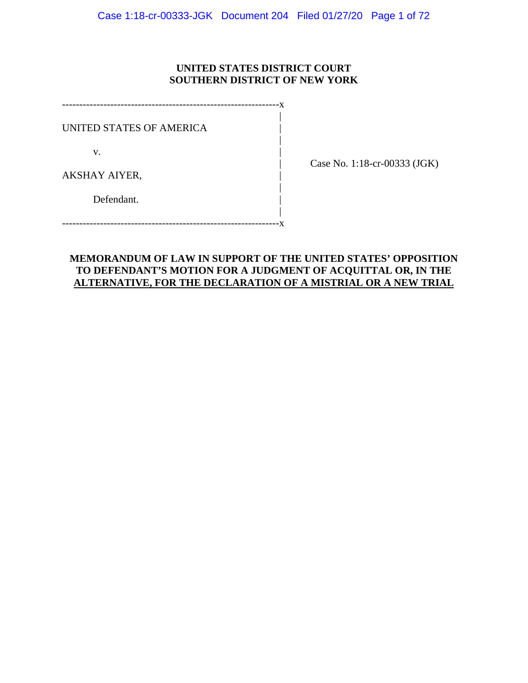### **UNITED STATES DISTRICT COURT SOUTHERN DISTRICT OF NEW YORK**

---------------------------------------------------------------x | UNITED STATES OF AMERICA |

|

v.

| Case No. 1:18-cr-00333 (JGK)

AKSHAY AIYER, |

Defendant.

 | ---------------------------------------------------------------x

|

## **MEMORANDUM OF LAW IN SUPPORT OF THE UNITED STATES' OPPOSITION TO DEFENDANT'S MOTION FOR A JUDGMENT OF ACQUITTAL OR, IN THE ALTERNATIVE, FOR THE DECLARATION OF A MISTRIAL OR A NEW TRIAL**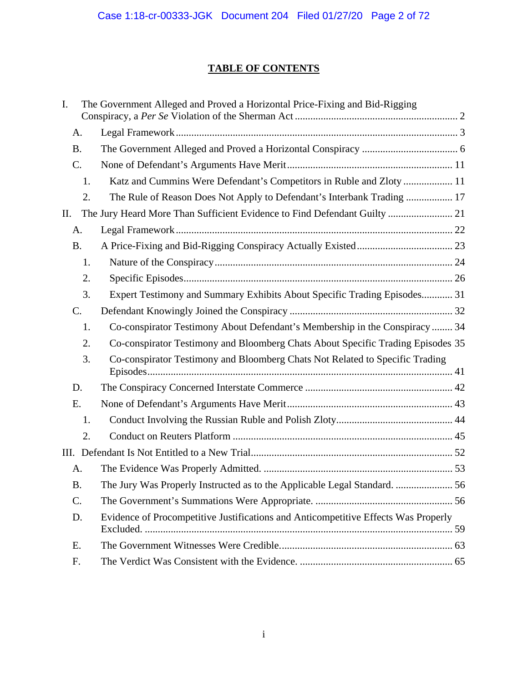## **TABLE OF CONTENTS**

| I.        | The Government Alleged and Proved a Horizontal Price-Fixing and Bid-Rigging        |  |  |
|-----------|------------------------------------------------------------------------------------|--|--|
| А.        |                                                                                    |  |  |
| <b>B.</b> |                                                                                    |  |  |
| C.        |                                                                                    |  |  |
| 1.        | Katz and Cummins Were Defendant's Competitors in Ruble and Zloty  11               |  |  |
| 2.        | The Rule of Reason Does Not Apply to Defendant's Interbank Trading  17             |  |  |
| П.        | The Jury Heard More Than Sufficient Evidence to Find Defendant Guilty  21          |  |  |
| A.        |                                                                                    |  |  |
| <b>B.</b> |                                                                                    |  |  |
| 1.        |                                                                                    |  |  |
| 2.        |                                                                                    |  |  |
| 3.        | Expert Testimony and Summary Exhibits About Specific Trading Episodes 31           |  |  |
| C.        |                                                                                    |  |  |
| 1.        | Co-conspirator Testimony About Defendant's Membership in the Conspiracy  34        |  |  |
| 2.        | Co-conspirator Testimony and Bloomberg Chats About Specific Trading Episodes 35    |  |  |
| 3.        | Co-conspirator Testimony and Bloomberg Chats Not Related to Specific Trading       |  |  |
| D.        |                                                                                    |  |  |
| Ε.        |                                                                                    |  |  |
| 1.        |                                                                                    |  |  |
| 2.        |                                                                                    |  |  |
|           |                                                                                    |  |  |
| A.        |                                                                                    |  |  |
| <b>B.</b> | The Jury Was Properly Instructed as to the Applicable Legal Standard.  56          |  |  |
| C.        |                                                                                    |  |  |
| D.        | Evidence of Procompetitive Justifications and Anticompetitive Effects Was Properly |  |  |
| E.        |                                                                                    |  |  |
| F.        |                                                                                    |  |  |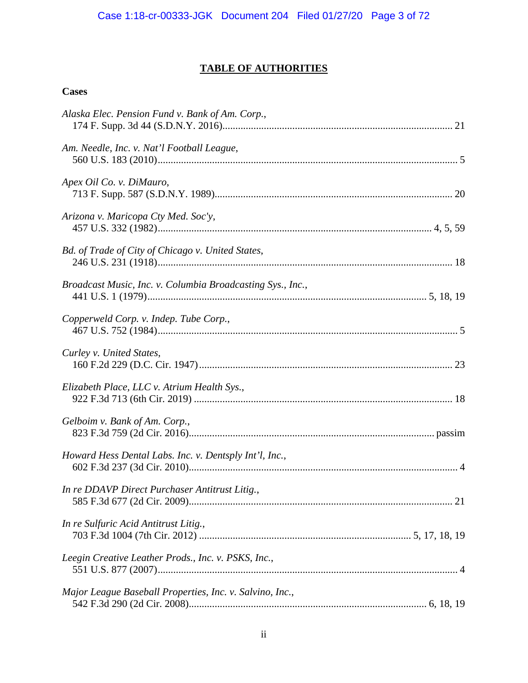## **TABLE OF AUTHORITIES**

## **Cases**

| Alaska Elec. Pension Fund v. Bank of Am. Corp.,            |
|------------------------------------------------------------|
| Am. Needle, Inc. v. Nat'l Football League,                 |
| Apex Oil Co. v. DiMauro,                                   |
| Arizona v. Maricopa Cty Med. Soc'y,                        |
| Bd. of Trade of City of Chicago v. United States,          |
| Broadcast Music, Inc. v. Columbia Broadcasting Sys., Inc., |
| Copperweld Corp. v. Indep. Tube Corp.,                     |
| Curley v. United States,                                   |
| Elizabeth Place, LLC v. Atrium Health Sys.,                |
| Gelboim v. Bank of Am. Corp.,                              |
| Howard Hess Dental Labs. Inc. v. Dentsply Int'l, Inc.,     |
| In re DDAVP Direct Purchaser Antitrust Litig.,             |
| In re Sulfuric Acid Antitrust Litig.,                      |
| Leegin Creative Leather Prods., Inc. v. PSKS, Inc.,        |
| Major League Baseball Properties, Inc. v. Salvino, Inc.,   |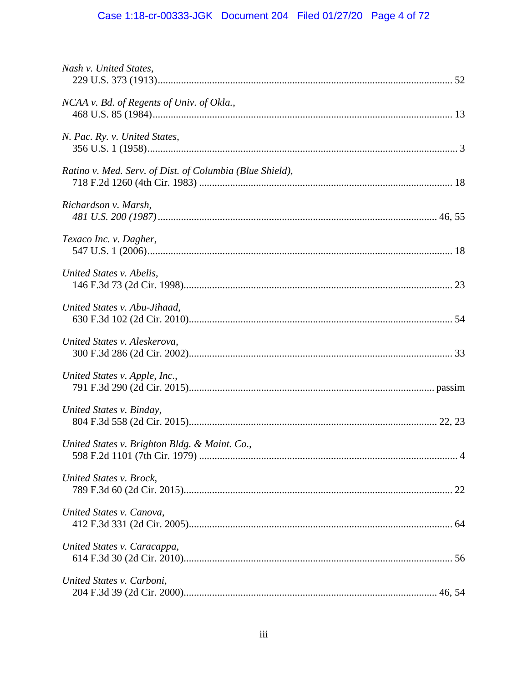# Case 1:18-cr-00333-JGK Document 204 Filed 01/27/20 Page 4 of 72

| Nash v. United States,                                   |  |
|----------------------------------------------------------|--|
| NCAA v. Bd. of Regents of Univ. of Okla.,                |  |
| N. Pac. Ry. v. United States,                            |  |
| Ratino v. Med. Serv. of Dist. of Columbia (Blue Shield), |  |
| Richardson v. Marsh,                                     |  |
| Texaco Inc. v. Dagher,                                   |  |
| United States v. Abelis,                                 |  |
| United States v. Abu-Jihaad,                             |  |
| United States v. Aleskerova,                             |  |
| United States v. Apple, Inc.,                            |  |
| United States v. Binday,                                 |  |
| United States v. Brighton Bldg. & Maint. Co.,            |  |
| United States v. Brock,                                  |  |
| United States v. Canova,                                 |  |
| United States v. Caracappa,                              |  |
| United States v. Carboni,                                |  |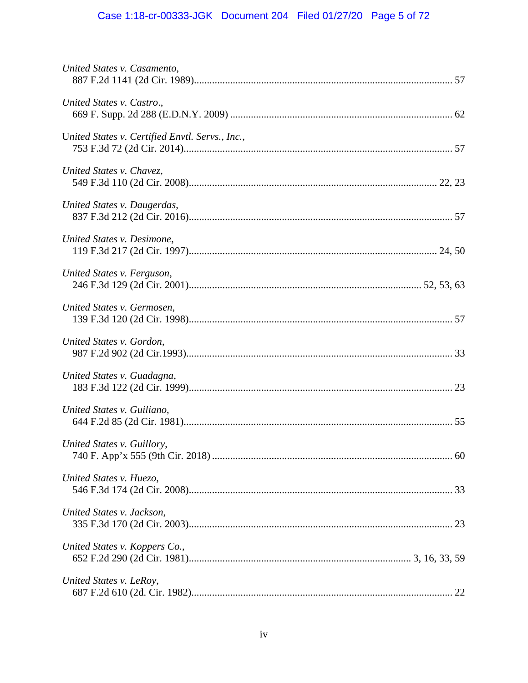# Case 1:18-cr-00333-JGK Document 204 Filed 01/27/20 Page 5 of 72

| United States v. Casamento,                     |  |
|-------------------------------------------------|--|
| United States v. Castro.,                       |  |
| United States v. Certified Envtl. Servs., Inc., |  |
| United States v. Chavez,                        |  |
| United States v. Daugerdas,                     |  |
| United States v. Desimone,                      |  |
| United States v. Ferguson,                      |  |
| United States v. Germosen,                      |  |
| United States v. Gordon,                        |  |
| United States v. Guadagna,                      |  |
| United States v. Guiliano,                      |  |
| United States v. Guillory,                      |  |
| United States v. Huezo,                         |  |
| United States v. Jackson,                       |  |
| United States v. Koppers Co.,                   |  |
| United States v. LeRoy,                         |  |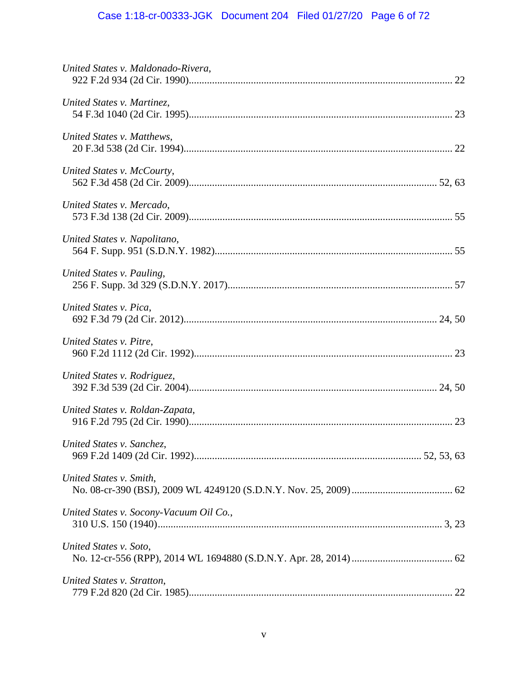# Case 1:18-cr-00333-JGK Document 204 Filed 01/27/20 Page 6 of 72

| United States v. Maldonado-Rivera,      |  |
|-----------------------------------------|--|
| United States v. Martinez,              |  |
| United States v. Matthews,              |  |
| United States v. McCourty,              |  |
| United States v. Mercado,               |  |
| United States v. Napolitano,            |  |
| United States v. Pauling,               |  |
| United States v. Pica,                  |  |
| United States v. Pitre,                 |  |
| United States v. Rodriguez,             |  |
| United States v. Roldan-Zapata,         |  |
| United States v. Sanchez,               |  |
| United States v. Smith,                 |  |
| United States v. Socony-Vacuum Oil Co., |  |
| United States v. Soto,                  |  |
| United States v. Stratton,              |  |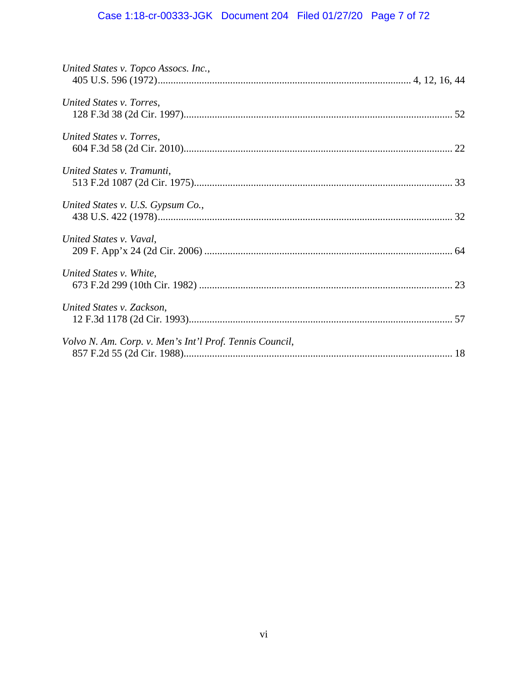# Case 1:18-cr-00333-JGK Document 204 Filed 01/27/20 Page 7 of 72

| United States v. Topco Assocs. Inc.,                    |  |
|---------------------------------------------------------|--|
| United States v. Torres,                                |  |
| United States v. Torres,                                |  |
| United States v. Tramunti,                              |  |
| United States v. U.S. Gypsum Co.,                       |  |
| United States v. Vaval,                                 |  |
| United States v. White,                                 |  |
| United States v. Zackson,                               |  |
| Volvo N. Am. Corp. v. Men's Int'l Prof. Tennis Council, |  |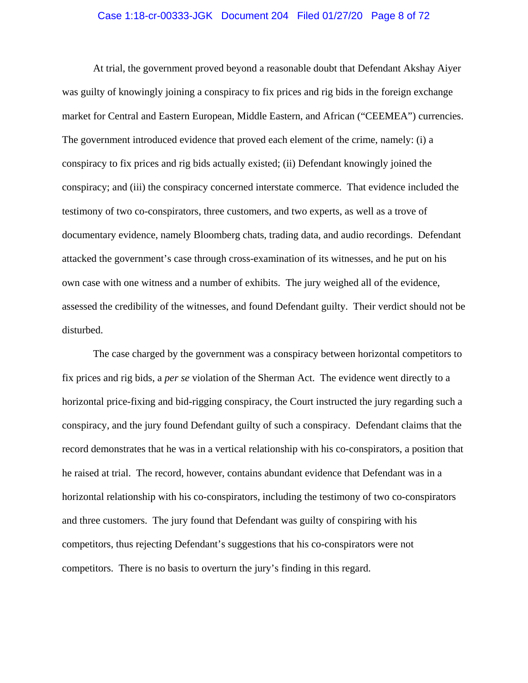#### Case 1:18-cr-00333-JGK Document 204 Filed 01/27/20 Page 8 of 72

At trial, the government proved beyond a reasonable doubt that Defendant Akshay Aiyer was guilty of knowingly joining a conspiracy to fix prices and rig bids in the foreign exchange market for Central and Eastern European, Middle Eastern, and African ("CEEMEA") currencies. The government introduced evidence that proved each element of the crime, namely: (i) a conspiracy to fix prices and rig bids actually existed; (ii) Defendant knowingly joined the conspiracy; and (iii) the conspiracy concerned interstate commerce. That evidence included the testimony of two co-conspirators, three customers, and two experts, as well as a trove of documentary evidence, namely Bloomberg chats, trading data, and audio recordings. Defendant attacked the government's case through cross-examination of its witnesses, and he put on his own case with one witness and a number of exhibits. The jury weighed all of the evidence, assessed the credibility of the witnesses, and found Defendant guilty. Their verdict should not be disturbed.

The case charged by the government was a conspiracy between horizontal competitors to fix prices and rig bids, a *per se* violation of the Sherman Act. The evidence went directly to a horizontal price-fixing and bid-rigging conspiracy, the Court instructed the jury regarding such a conspiracy, and the jury found Defendant guilty of such a conspiracy. Defendant claims that the record demonstrates that he was in a vertical relationship with his co-conspirators, a position that he raised at trial. The record, however, contains abundant evidence that Defendant was in a horizontal relationship with his co-conspirators, including the testimony of two co-conspirators and three customers. The jury found that Defendant was guilty of conspiring with his competitors, thus rejecting Defendant's suggestions that his co-conspirators were not competitors. There is no basis to overturn the jury's finding in this regard.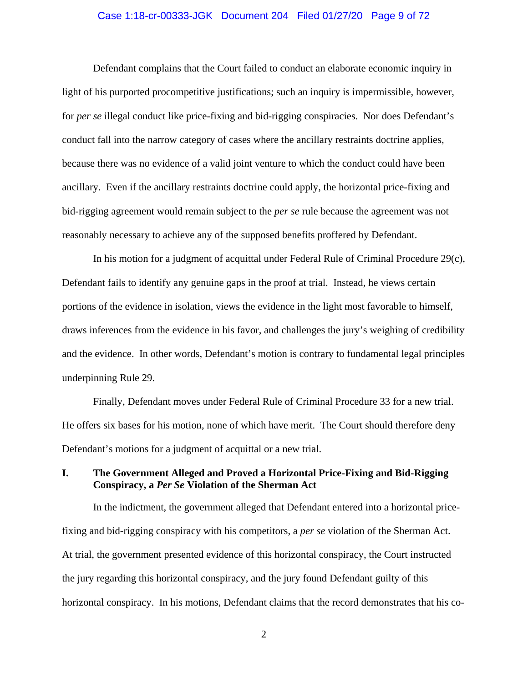#### Case 1:18-cr-00333-JGK Document 204 Filed 01/27/20 Page 9 of 72

Defendant complains that the Court failed to conduct an elaborate economic inquiry in light of his purported procompetitive justifications; such an inquiry is impermissible, however, for *per se* illegal conduct like price-fixing and bid-rigging conspiracies. Nor does Defendant's conduct fall into the narrow category of cases where the ancillary restraints doctrine applies, because there was no evidence of a valid joint venture to which the conduct could have been ancillary. Even if the ancillary restraints doctrine could apply, the horizontal price-fixing and bid-rigging agreement would remain subject to the *per se* rule because the agreement was not reasonably necessary to achieve any of the supposed benefits proffered by Defendant.

In his motion for a judgment of acquittal under Federal Rule of Criminal Procedure 29(c), Defendant fails to identify any genuine gaps in the proof at trial. Instead, he views certain portions of the evidence in isolation, views the evidence in the light most favorable to himself, draws inferences from the evidence in his favor, and challenges the jury's weighing of credibility and the evidence. In other words, Defendant's motion is contrary to fundamental legal principles underpinning Rule 29.

Finally, Defendant moves under Federal Rule of Criminal Procedure 33 for a new trial. He offers six bases for his motion, none of which have merit. The Court should therefore deny Defendant's motions for a judgment of acquittal or a new trial.

## **I. The Government Alleged and Proved a Horizontal Price-Fixing and Bid-Rigging Conspiracy, a** *Per Se* **Violation of the Sherman Act**

 In the indictment, the government alleged that Defendant entered into a horizontal pricefixing and bid-rigging conspiracy with his competitors, a *per se* violation of the Sherman Act. At trial, the government presented evidence of this horizontal conspiracy, the Court instructed the jury regarding this horizontal conspiracy, and the jury found Defendant guilty of this horizontal conspiracy. In his motions, Defendant claims that the record demonstrates that his co-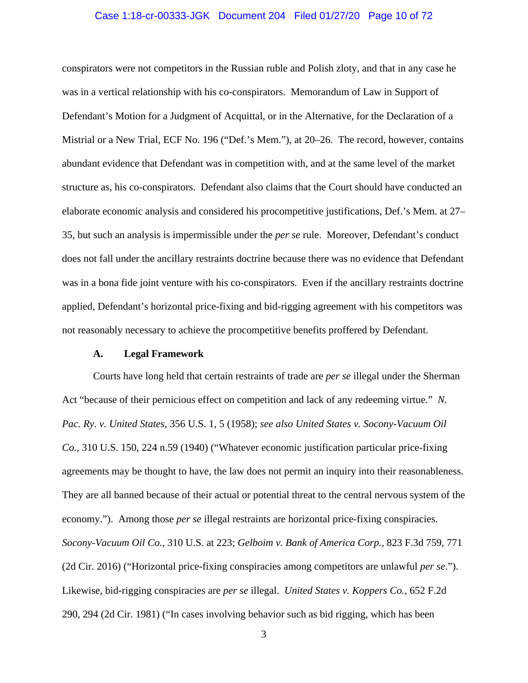#### Case 1:18-cr-00333-JGK Document 204 Filed 01/27/20 Page 10 of 72

conspirators were not competitors in the Russian ruble and Polish zloty, and that in any case he was in a vertical relationship with his co-conspirators. Memorandum of Law in Support of Defendant's Motion for a Judgment of Acquittal, or in the Alternative, for the Declaration of a Mistrial or a New Trial, ECF No. 196 ("Def.'s Mem."), at 20–26. The record, however, contains abundant evidence that Defendant was in competition with, and at the same level of the market structure as, his co-conspirators. Defendant also claims that the Court should have conducted an elaborate economic analysis and considered his procompetitive justifications, Def.'s Mem. at 27– 35, but such an analysis is impermissible under the *per se* rule. Moreover, Defendant's conduct does not fall under the ancillary restraints doctrine because there was no evidence that Defendant was in a bona fide joint venture with his co-conspirators. Even if the ancillary restraints doctrine applied, Defendant's horizontal price-fixing and bid-rigging agreement with his competitors was not reasonably necessary to achieve the procompetitive benefits proffered by Defendant.

#### **A. Legal Framework**

 Courts have long held that certain restraints of trade are *per se* illegal under the Sherman Act "because of their pernicious effect on competition and lack of any redeeming virtue." *N. Pac. Ry. v. United States*, 356 U.S. 1, 5 (1958); *see also United States v. Socony-Vacuum Oil Co.*, 310 U.S. 150, 224 n.59 (1940) ("Whatever economic justification particular price-fixing agreements may be thought to have, the law does not permit an inquiry into their reasonableness. They are all banned because of their actual or potential threat to the central nervous system of the economy."). Among those *per se* illegal restraints are horizontal price-fixing conspiracies. *Socony-Vacuum Oil Co.*, 310 U.S. at 223; *Gelboim v. Bank of America Corp.*, 823 F.3d 759, 771 (2d Cir. 2016) ("Horizontal price-fixing conspiracies among competitors are unlawful *per se*."). Likewise, bid-rigging conspiracies are *per se* illegal. *United States v. Koppers Co.*, 652 F.2d 290, 294 (2d Cir. 1981) ("In cases involving behavior such as bid rigging, which has been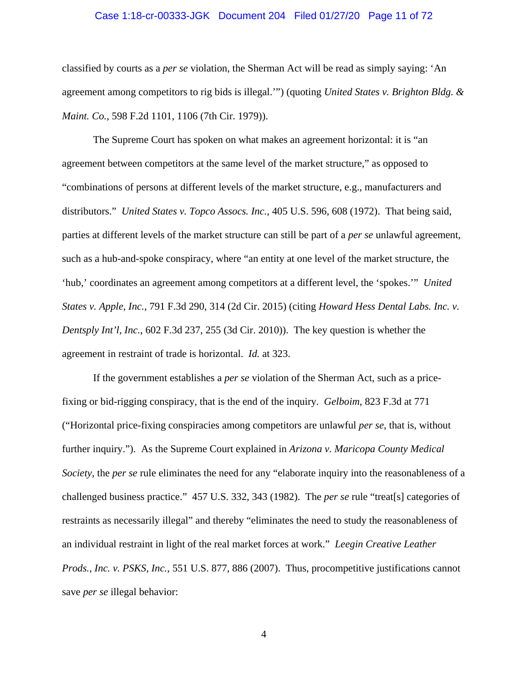#### Case 1:18-cr-00333-JGK Document 204 Filed 01/27/20 Page 11 of 72

classified by courts as a *per se* violation, the Sherman Act will be read as simply saying: 'An agreement among competitors to rig bids is illegal.'") (quoting *United States v. Brighton Bldg. & Maint. Co.*, 598 F.2d 1101, 1106 (7th Cir. 1979)).

 The Supreme Court has spoken on what makes an agreement horizontal: it is "an agreement between competitors at the same level of the market structure," as opposed to "combinations of persons at different levels of the market structure, e.g., manufacturers and distributors." *United States v. Topco Assocs. Inc.*, 405 U.S. 596, 608 (1972). That being said, parties at different levels of the market structure can still be part of a *per se* unlawful agreement, such as a hub-and-spoke conspiracy, where "an entity at one level of the market structure, the 'hub,' coordinates an agreement among competitors at a different level, the 'spokes.'" *United States v. Apple, Inc.*, 791 F.3d 290, 314 (2d Cir. 2015) (citing *Howard Hess Dental Labs. Inc. v. Dentsply Int'l, Inc.*, 602 F.3d 237, 255 (3d Cir. 2010)). The key question is whether the agreement in restraint of trade is horizontal. *Id.* at 323.

If the government establishes a *per se* violation of the Sherman Act, such as a pricefixing or bid-rigging conspiracy, that is the end of the inquiry. *Gelboim*, 823 F.3d at 771 ("Horizontal price-fixing conspiracies among competitors are unlawful *per se*, that is, without further inquiry."). As the Supreme Court explained in *Arizona v. Maricopa County Medical Society*, the *per se* rule eliminates the need for any "elaborate inquiry into the reasonableness of a challenged business practice." 457 U.S. 332, 343 (1982). The *per se* rule "treat[s] categories of restraints as necessarily illegal" and thereby "eliminates the need to study the reasonableness of an individual restraint in light of the real market forces at work." *Leegin Creative Leather Prods., Inc. v. PSKS, Inc.*, 551 U.S. 877, 886 (2007). Thus, procompetitive justifications cannot save *per se* illegal behavior: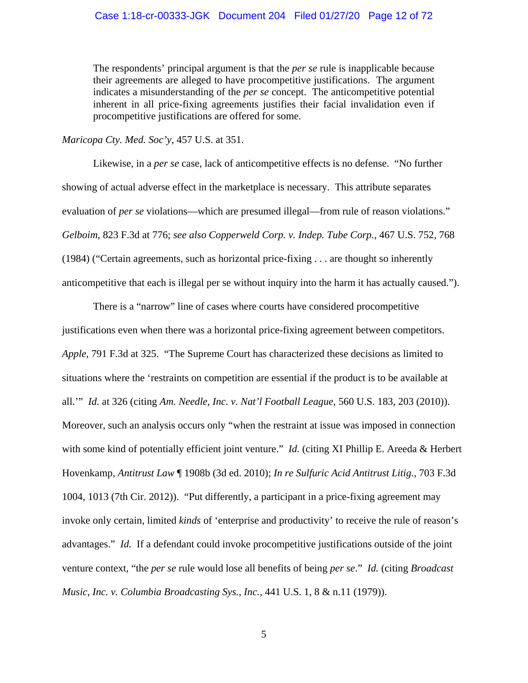The respondents' principal argument is that the *per se* rule is inapplicable because their agreements are alleged to have procompetitive justifications. The argument indicates a misunderstanding of the *per se* concept. The anticompetitive potential inherent in all price-fixing agreements justifies their facial invalidation even if procompetitive justifications are offered for some.

*Maricopa Cty. Med. Soc'y*, 457 U.S. at 351.

 Likewise, in a *per se* case, lack of anticompetitive effects is no defense. "No further showing of actual adverse effect in the marketplace is necessary. This attribute separates evaluation of *per se* violations—which are presumed illegal—from rule of reason violations." *Gelboim*, 823 F.3d at 776; *see also Copperweld Corp. v. Indep. Tube Corp.*, 467 U.S. 752, 768 (1984) ("Certain agreements, such as horizontal price-fixing . . . are thought so inherently anticompetitive that each is illegal per se without inquiry into the harm it has actually caused.").

 There is a "narrow" line of cases where courts have considered procompetitive justifications even when there was a horizontal price-fixing agreement between competitors. *Apple*, 791 F.3d at 325. "The Supreme Court has characterized these decisions as limited to situations where the 'restraints on competition are essential if the product is to be available at all.'" *Id.* at 326 (citing *Am. Needle, Inc. v. Nat'l Football League*, 560 U.S. 183, 203 (2010)). Moreover, such an analysis occurs only "when the restraint at issue was imposed in connection with some kind of potentially efficient joint venture." *Id.* (citing XI Phillip E. Areeda & Herbert Hovenkamp, *Antitrust Law* ¶ 1908b (3d ed. 2010); *In re Sulfuric Acid Antitrust Litig.*, 703 F.3d 1004, 1013 (7th Cir. 2012)). "Put differently, a participant in a price-fixing agreement may invoke only certain, limited *kinds* of 'enterprise and productivity' to receive the rule of reason's advantages." *Id.* If a defendant could invoke procompetitive justifications outside of the joint venture context, "the *per se* rule would lose all benefits of being *per se*." *Id.* (citing *Broadcast Music, Inc. v. Columbia Broadcasting Sys., Inc.*, 441 U.S. 1, 8 & n.11 (1979)).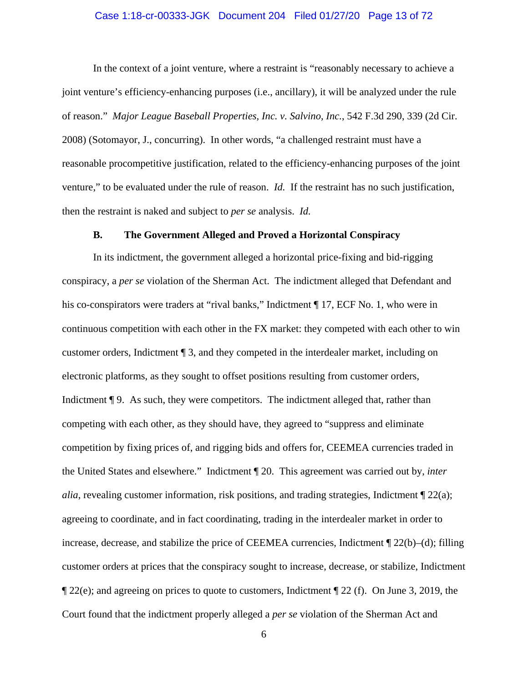#### Case 1:18-cr-00333-JGK Document 204 Filed 01/27/20 Page 13 of 72

 In the context of a joint venture, where a restraint is "reasonably necessary to achieve a joint venture's efficiency-enhancing purposes (i.e., ancillary), it will be analyzed under the rule of reason." *Major League Baseball Properties, Inc. v. Salvino, Inc.*, 542 F.3d 290, 339 (2d Cir. 2008) (Sotomayor, J., concurring). In other words, "a challenged restraint must have a reasonable procompetitive justification, related to the efficiency-enhancing purposes of the joint venture," to be evaluated under the rule of reason. *Id.* If the restraint has no such justification, then the restraint is naked and subject to *per se* analysis. *Id.*

#### **B. The Government Alleged and Proved a Horizontal Conspiracy**

 In its indictment, the government alleged a horizontal price-fixing and bid-rigging conspiracy, a *per se* violation of the Sherman Act. The indictment alleged that Defendant and his co-conspirators were traders at "rival banks," Indictment ¶ 17, ECF No. 1, who were in continuous competition with each other in the FX market: they competed with each other to win customer orders, Indictment ¶ 3, and they competed in the interdealer market, including on electronic platforms, as they sought to offset positions resulting from customer orders, Indictment **[9.** As such, they were competitors. The indictment alleged that, rather than competing with each other, as they should have, they agreed to "suppress and eliminate competition by fixing prices of, and rigging bids and offers for, CEEMEA currencies traded in the United States and elsewhere." Indictment ¶ 20. This agreement was carried out by, *inter alia*, revealing customer information, risk positions, and trading strategies, Indictment  $\mathbb{I}$  22(a); agreeing to coordinate, and in fact coordinating, trading in the interdealer market in order to increase, decrease, and stabilize the price of CEEMEA currencies, Indictment ¶ 22(b)–(d); filling customer orders at prices that the conspiracy sought to increase, decrease, or stabilize, Indictment  $\P$  22(e); and agreeing on prices to quote to customers, Indictment  $\P$  22(f). On June 3, 2019, the Court found that the indictment properly alleged a *per se* violation of the Sherman Act and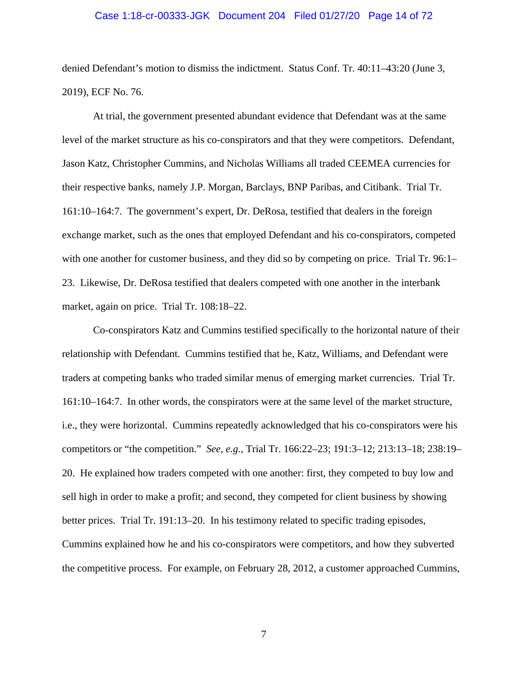#### Case 1:18-cr-00333-JGK Document 204 Filed 01/27/20 Page 14 of 72

denied Defendant's motion to dismiss the indictment. Status Conf. Tr. 40:11–43:20 (June 3, 2019), ECF No. 76.

 At trial, the government presented abundant evidence that Defendant was at the same level of the market structure as his co-conspirators and that they were competitors. Defendant, Jason Katz, Christopher Cummins, and Nicholas Williams all traded CEEMEA currencies for their respective banks, namely J.P. Morgan, Barclays, BNP Paribas, and Citibank. Trial Tr. 161:10–164:7. The government's expert, Dr. DeRosa, testified that dealers in the foreign exchange market, such as the ones that employed Defendant and his co-conspirators, competed with one another for customer business, and they did so by competing on price. Trial Tr. 96:1– 23. Likewise, Dr. DeRosa testified that dealers competed with one another in the interbank market, again on price. Trial Tr. 108:18–22.

 Co-conspirators Katz and Cummins testified specifically to the horizontal nature of their relationship with Defendant. Cummins testified that he, Katz, Williams, and Defendant were traders at competing banks who traded similar menus of emerging market currencies. Trial Tr. 161:10–164:7. In other words, the conspirators were at the same level of the market structure, i.e., they were horizontal. Cummins repeatedly acknowledged that his co-conspirators were his competitors or "the competition." *See, e.g.*, Trial Tr. 166:22–23; 191:3–12; 213:13–18; 238:19– 20. He explained how traders competed with one another: first, they competed to buy low and sell high in order to make a profit; and second, they competed for client business by showing better prices. Trial Tr. 191:13–20. In his testimony related to specific trading episodes, Cummins explained how he and his co-conspirators were competitors, and how they subverted the competitive process. For example, on February 28, 2012, a customer approached Cummins,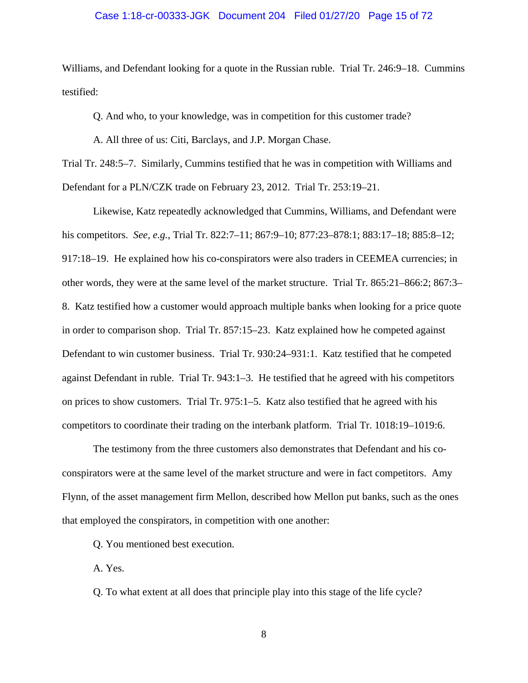#### Case 1:18-cr-00333-JGK Document 204 Filed 01/27/20 Page 15 of 72

Williams, and Defendant looking for a quote in the Russian ruble. Trial Tr. 246:9–18. Cummins testified:

Q. And who, to your knowledge, was in competition for this customer trade?

A. All three of us: Citi, Barclays, and J.P. Morgan Chase.

Trial Tr. 248:5–7. Similarly, Cummins testified that he was in competition with Williams and Defendant for a PLN/CZK trade on February 23, 2012. Trial Tr. 253:19–21.

 Likewise, Katz repeatedly acknowledged that Cummins, Williams, and Defendant were his competitors. *See, e.g.*, Trial Tr. 822:7–11; 867:9–10; 877:23–878:1; 883:17–18; 885:8–12; 917:18–19. He explained how his co-conspirators were also traders in CEEMEA currencies; in other words, they were at the same level of the market structure. Trial Tr. 865:21–866:2; 867:3– 8. Katz testified how a customer would approach multiple banks when looking for a price quote in order to comparison shop. Trial Tr. 857:15–23. Katz explained how he competed against Defendant to win customer business. Trial Tr. 930:24–931:1. Katz testified that he competed against Defendant in ruble. Trial Tr. 943:1–3. He testified that he agreed with his competitors on prices to show customers. Trial Tr. 975:1–5. Katz also testified that he agreed with his competitors to coordinate their trading on the interbank platform. Trial Tr. 1018:19–1019:6.

 The testimony from the three customers also demonstrates that Defendant and his coconspirators were at the same level of the market structure and were in fact competitors. Amy Flynn, of the asset management firm Mellon, described how Mellon put banks, such as the ones that employed the conspirators, in competition with one another:

Q. You mentioned best execution.

A. Yes.

Q. To what extent at all does that principle play into this stage of the life cycle?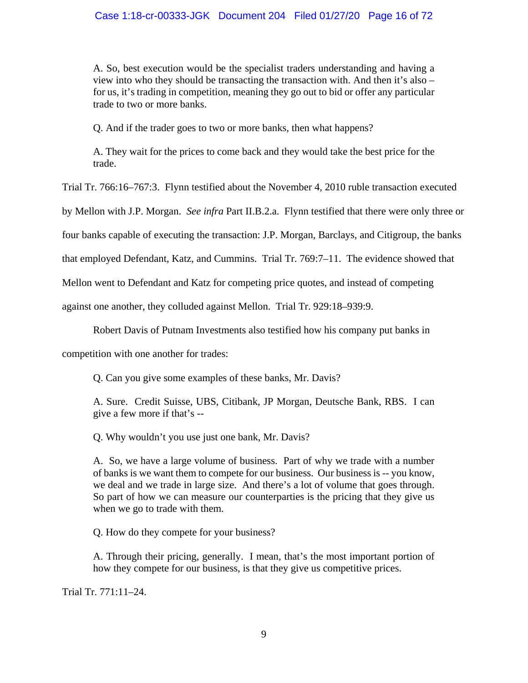A. So, best execution would be the specialist traders understanding and having a view into who they should be transacting the transaction with. And then it's also – for us, it's trading in competition, meaning they go out to bid or offer any particular trade to two or more banks.

Q. And if the trader goes to two or more banks, then what happens?

A. They wait for the prices to come back and they would take the best price for the trade.

Trial Tr. 766:16–767:3. Flynn testified about the November 4, 2010 ruble transaction executed

by Mellon with J.P. Morgan. *See infra* Part II.B.2.a. Flynn testified that there were only three or

four banks capable of executing the transaction: J.P. Morgan, Barclays, and Citigroup, the banks

that employed Defendant, Katz, and Cummins. Trial Tr. 769:7–11. The evidence showed that

Mellon went to Defendant and Katz for competing price quotes, and instead of competing

against one another, they colluded against Mellon. Trial Tr. 929:18–939:9.

Robert Davis of Putnam Investments also testified how his company put banks in

competition with one another for trades:

Q. Can you give some examples of these banks, Mr. Davis?

A. Sure. Credit Suisse, UBS, Citibank, JP Morgan, Deutsche Bank, RBS. I can give a few more if that's --

Q. Why wouldn't you use just one bank, Mr. Davis?

A. So, we have a large volume of business. Part of why we trade with a number of banks is we want them to compete for our business. Our business is -- you know, we deal and we trade in large size. And there's a lot of volume that goes through. So part of how we can measure our counterparties is the pricing that they give us when we go to trade with them.

Q. How do they compete for your business?

A. Through their pricing, generally. I mean, that's the most important portion of how they compete for our business, is that they give us competitive prices.

Trial Tr. 771:11–24.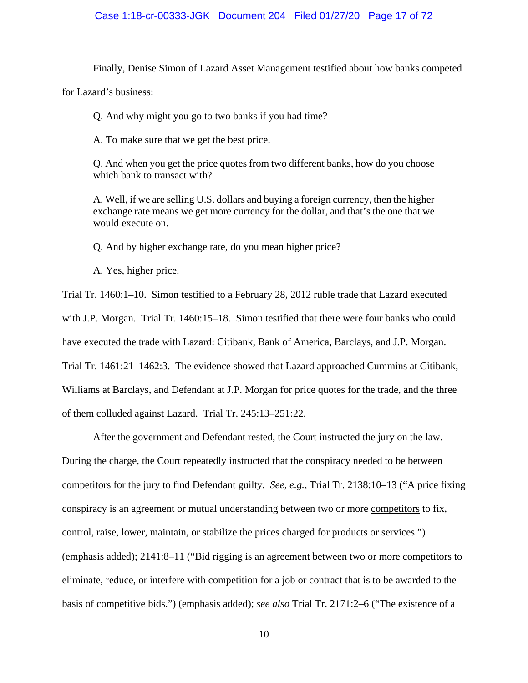#### Case 1:18-cr-00333-JGK Document 204 Filed 01/27/20 Page 17 of 72

Finally, Denise Simon of Lazard Asset Management testified about how banks competed

for Lazard's business:

Q. And why might you go to two banks if you had time?

A. To make sure that we get the best price.

Q. And when you get the price quotes from two different banks, how do you choose which bank to transact with?

A. Well, if we are selling U.S. dollars and buying a foreign currency, then the higher exchange rate means we get more currency for the dollar, and that's the one that we would execute on.

Q. And by higher exchange rate, do you mean higher price?

A. Yes, higher price.

Trial Tr. 1460:1–10. Simon testified to a February 28, 2012 ruble trade that Lazard executed with J.P. Morgan. Trial Tr. 1460:15–18. Simon testified that there were four banks who could have executed the trade with Lazard: Citibank, Bank of America, Barclays, and J.P. Morgan. Trial Tr. 1461:21–1462:3. The evidence showed that Lazard approached Cummins at Citibank, Williams at Barclays, and Defendant at J.P. Morgan for price quotes for the trade, and the three of them colluded against Lazard. Trial Tr. 245:13–251:22.

 After the government and Defendant rested, the Court instructed the jury on the law. During the charge, the Court repeatedly instructed that the conspiracy needed to be between competitors for the jury to find Defendant guilty. *See, e.g.*, Trial Tr. 2138:10–13 ("A price fixing conspiracy is an agreement or mutual understanding between two or more competitors to fix, control, raise, lower, maintain, or stabilize the prices charged for products or services.") (emphasis added); 2141:8–11 ("Bid rigging is an agreement between two or more competitors to eliminate, reduce, or interfere with competition for a job or contract that is to be awarded to the basis of competitive bids.") (emphasis added); *see also* Trial Tr. 2171:2–6 ("The existence of a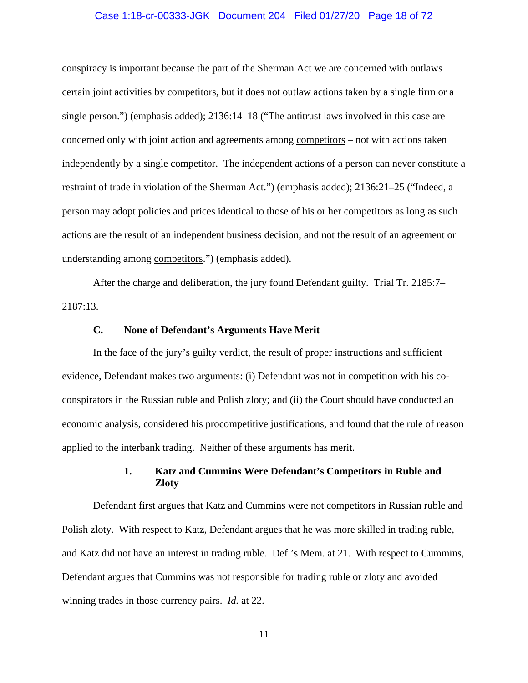#### Case 1:18-cr-00333-JGK Document 204 Filed 01/27/20 Page 18 of 72

conspiracy is important because the part of the Sherman Act we are concerned with outlaws certain joint activities by competitors, but it does not outlaw actions taken by a single firm or a single person.") (emphasis added); 2136:14–18 ("The antitrust laws involved in this case are concerned only with joint action and agreements among competitors – not with actions taken independently by a single competitor. The independent actions of a person can never constitute a restraint of trade in violation of the Sherman Act.") (emphasis added); 2136:21–25 ("Indeed, a person may adopt policies and prices identical to those of his or her competitors as long as such actions are the result of an independent business decision, and not the result of an agreement or understanding among competitors.") (emphasis added).

 After the charge and deliberation, the jury found Defendant guilty. Trial Tr. 2185:7– 2187:13.

#### **C. None of Defendant's Arguments Have Merit**

 In the face of the jury's guilty verdict, the result of proper instructions and sufficient evidence, Defendant makes two arguments: (i) Defendant was not in competition with his coconspirators in the Russian ruble and Polish zloty; and (ii) the Court should have conducted an economic analysis, considered his procompetitive justifications, and found that the rule of reason applied to the interbank trading. Neither of these arguments has merit.

### **1. Katz and Cummins Were Defendant's Competitors in Ruble and Zloty**

 Defendant first argues that Katz and Cummins were not competitors in Russian ruble and Polish zloty. With respect to Katz, Defendant argues that he was more skilled in trading ruble, and Katz did not have an interest in trading ruble. Def.'s Mem. at 21. With respect to Cummins, Defendant argues that Cummins was not responsible for trading ruble or zloty and avoided winning trades in those currency pairs. *Id.* at 22.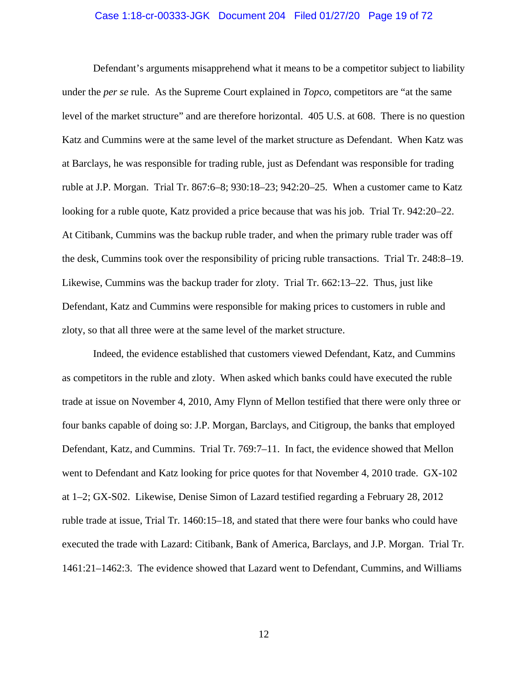#### Case 1:18-cr-00333-JGK Document 204 Filed 01/27/20 Page 19 of 72

 Defendant's arguments misapprehend what it means to be a competitor subject to liability under the *per se* rule. As the Supreme Court explained in *Topco*, competitors are "at the same level of the market structure" and are therefore horizontal. 405 U.S. at 608. There is no question Katz and Cummins were at the same level of the market structure as Defendant. When Katz was at Barclays, he was responsible for trading ruble, just as Defendant was responsible for trading ruble at J.P. Morgan. Trial Tr. 867:6–8; 930:18–23; 942:20–25. When a customer came to Katz looking for a ruble quote, Katz provided a price because that was his job. Trial Tr. 942:20–22. At Citibank, Cummins was the backup ruble trader, and when the primary ruble trader was off the desk, Cummins took over the responsibility of pricing ruble transactions. Trial Tr. 248:8–19. Likewise, Cummins was the backup trader for zloty. Trial Tr. 662:13–22. Thus, just like Defendant, Katz and Cummins were responsible for making prices to customers in ruble and zloty, so that all three were at the same level of the market structure.

 Indeed, the evidence established that customers viewed Defendant, Katz, and Cummins as competitors in the ruble and zloty. When asked which banks could have executed the ruble trade at issue on November 4, 2010, Amy Flynn of Mellon testified that there were only three or four banks capable of doing so: J.P. Morgan, Barclays, and Citigroup, the banks that employed Defendant, Katz, and Cummins. Trial Tr. 769:7–11. In fact, the evidence showed that Mellon went to Defendant and Katz looking for price quotes for that November 4, 2010 trade. GX-102 at 1–2; GX-S02. Likewise, Denise Simon of Lazard testified regarding a February 28, 2012 ruble trade at issue, Trial Tr. 1460:15–18, and stated that there were four banks who could have executed the trade with Lazard: Citibank, Bank of America, Barclays, and J.P. Morgan. Trial Tr. 1461:21–1462:3. The evidence showed that Lazard went to Defendant, Cummins, and Williams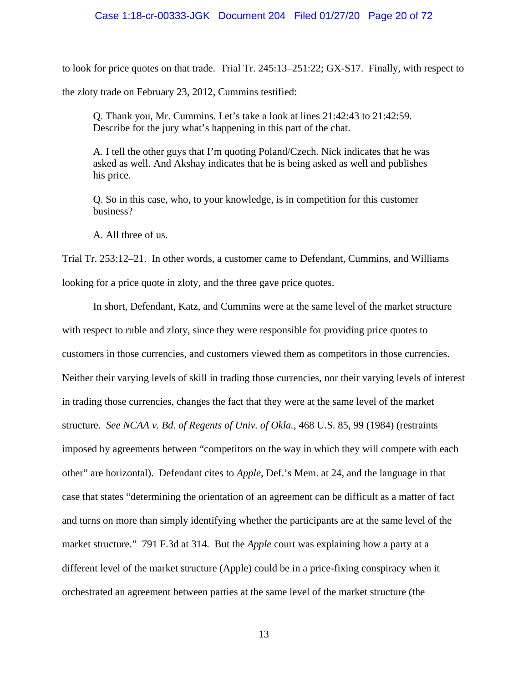#### Case 1:18-cr-00333-JGK Document 204 Filed 01/27/20 Page 20 of 72

to look for price quotes on that trade. Trial Tr. 245:13–251:22; GX-S17. Finally, with respect to the zloty trade on February 23, 2012, Cummins testified:

Q. Thank you, Mr. Cummins. Let's take a look at lines 21:42:43 to 21:42:59. Describe for the jury what's happening in this part of the chat.

A. I tell the other guys that I'm quoting Poland/Czech. Nick indicates that he was asked as well. And Akshay indicates that he is being asked as well and publishes his price.

Q. So in this case, who, to your knowledge, is in competition for this customer business?

A. All three of us.

Trial Tr. 253:12–21. In other words, a customer came to Defendant, Cummins, and Williams looking for a price quote in zloty, and the three gave price quotes.

 In short, Defendant, Katz, and Cummins were at the same level of the market structure with respect to ruble and zloty, since they were responsible for providing price quotes to customers in those currencies, and customers viewed them as competitors in those currencies. Neither their varying levels of skill in trading those currencies, nor their varying levels of interest in trading those currencies, changes the fact that they were at the same level of the market structure. *See NCAA v. Bd. of Regents of Univ. of Okla.*, 468 U.S. 85, 99 (1984) (restraints imposed by agreements between "competitors on the way in which they will compete with each other" are horizontal). Defendant cites to *Apple*, Def.'s Mem. at 24, and the language in that case that states "determining the orientation of an agreement can be difficult as a matter of fact and turns on more than simply identifying whether the participants are at the same level of the market structure." 791 F.3d at 314. But the *Apple* court was explaining how a party at a different level of the market structure (Apple) could be in a price-fixing conspiracy when it orchestrated an agreement between parties at the same level of the market structure (the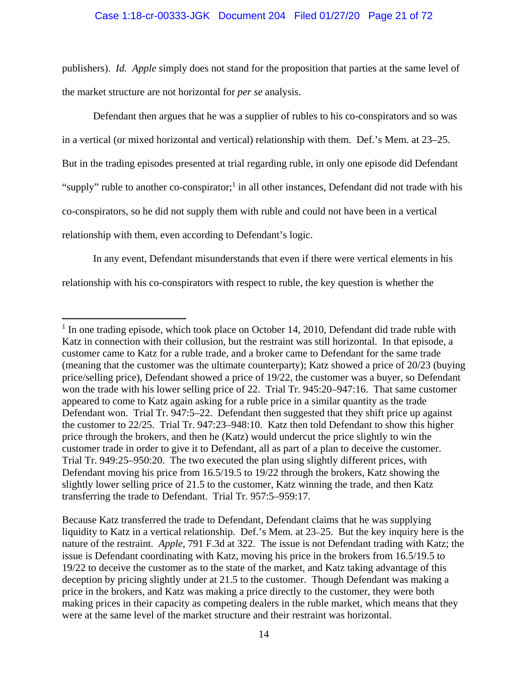publishers). *Id. Apple* simply does not stand for the proposition that parties at the same level of the market structure are not horizontal for *per se* analysis.

 Defendant then argues that he was a supplier of rubles to his co-conspirators and so was in a vertical (or mixed horizontal and vertical) relationship with them. Def.'s Mem. at 23–25. But in the trading episodes presented at trial regarding ruble, in only one episode did Defendant "supply" ruble to another co-conspirator;<sup>1</sup> in all other instances, Defendant did not trade with his co-conspirators, so he did not supply them with ruble and could not have been in a vertical relationship with them, even according to Defendant's logic.

 In any event, Defendant misunderstands that even if there were vertical elements in his relationship with his co-conspirators with respect to ruble, the key question is whether the

<sup>&</sup>lt;sup>1</sup> In one trading episode, which took place on October 14, 2010, Defendant did trade ruble with Katz in connection with their collusion, but the restraint was still horizontal. In that episode, a customer came to Katz for a ruble trade, and a broker came to Defendant for the same trade (meaning that the customer was the ultimate counterparty); Katz showed a price of 20/23 (buying price/selling price), Defendant showed a price of 19/22, the customer was a buyer, so Defendant won the trade with his lower selling price of 22. Trial Tr. 945:20–947:16. That same customer appeared to come to Katz again asking for a ruble price in a similar quantity as the trade Defendant won. Trial Tr. 947:5–22. Defendant then suggested that they shift price up against the customer to 22/25. Trial Tr. 947:23–948:10. Katz then told Defendant to show this higher price through the brokers, and then he (Katz) would undercut the price slightly to win the customer trade in order to give it to Defendant, all as part of a plan to deceive the customer. Trial Tr. 949:25–950:20. The two executed the plan using slightly different prices, with Defendant moving his price from 16.5/19.5 to 19/22 through the brokers, Katz showing the slightly lower selling price of 21.5 to the customer, Katz winning the trade, and then Katz transferring the trade to Defendant. Trial Tr. 957:5–959:17.

Because Katz transferred the trade to Defendant, Defendant claims that he was supplying liquidity to Katz in a vertical relationship. Def.'s Mem. at 23–25. But the key inquiry here is the nature of the restraint. *Apple*, 791 F.3d at 322. The issue is not Defendant trading with Katz; the issue is Defendant coordinating with Katz, moving his price in the brokers from 16.5/19.5 to 19/22 to deceive the customer as to the state of the market, and Katz taking advantage of this deception by pricing slightly under at 21.5 to the customer. Though Defendant was making a price in the brokers, and Katz was making a price directly to the customer, they were both making prices in their capacity as competing dealers in the ruble market, which means that they were at the same level of the market structure and their restraint was horizontal.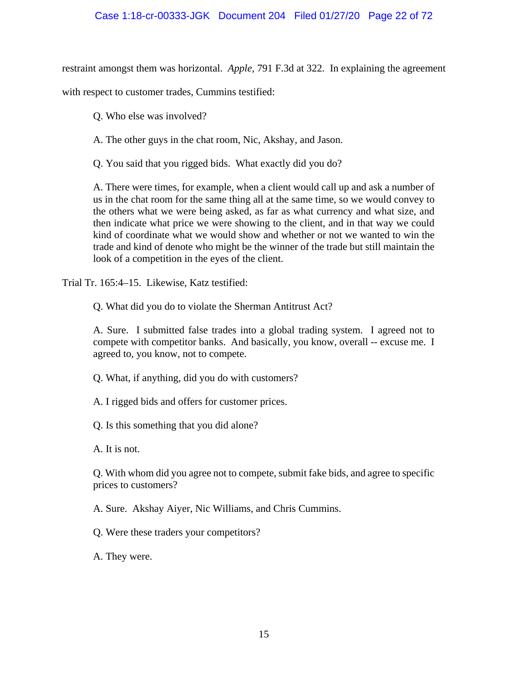### Case 1:18-cr-00333-JGK Document 204 Filed 01/27/20 Page 22 of 72

restraint amongst them was horizontal. *Apple*, 791 F.3d at 322. In explaining the agreement

with respect to customer trades, Cummins testified:

Q. Who else was involved?

A. The other guys in the chat room, Nic, Akshay, and Jason.

Q. You said that you rigged bids. What exactly did you do?

A. There were times, for example, when a client would call up and ask a number of us in the chat room for the same thing all at the same time, so we would convey to the others what we were being asked, as far as what currency and what size, and then indicate what price we were showing to the client, and in that way we could kind of coordinate what we would show and whether or not we wanted to win the trade and kind of denote who might be the winner of the trade but still maintain the look of a competition in the eyes of the client.

Trial Tr. 165:4–15. Likewise, Katz testified:

Q. What did you do to violate the Sherman Antitrust Act?

A. Sure. I submitted false trades into a global trading system. I agreed not to compete with competitor banks. And basically, you know, overall -- excuse me. I agreed to, you know, not to compete.

Q. What, if anything, did you do with customers?

A. I rigged bids and offers for customer prices.

Q. Is this something that you did alone?

A. It is not.

Q. With whom did you agree not to compete, submit fake bids, and agree to specific prices to customers?

A. Sure. Akshay Aiyer, Nic Williams, and Chris Cummins.

Q. Were these traders your competitors?

A. They were.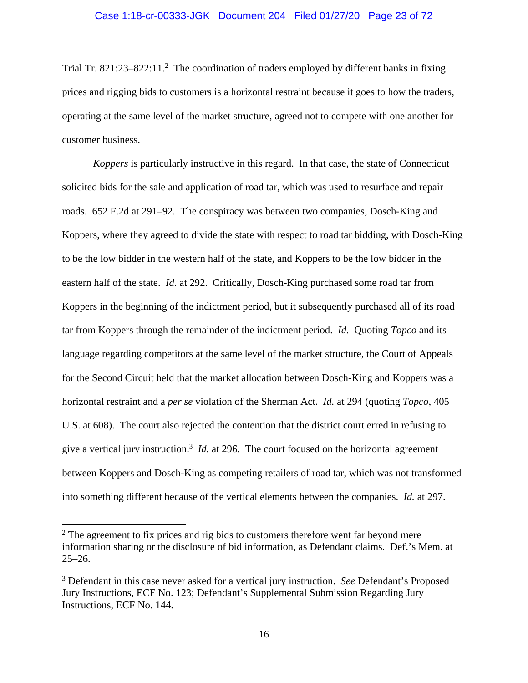Trial Tr. 821:23-822:11.<sup>2</sup> The coordination of traders employed by different banks in fixing prices and rigging bids to customers is a horizontal restraint because it goes to how the traders, operating at the same level of the market structure, agreed not to compete with one another for customer business.

*Koppers* is particularly instructive in this regard. In that case, the state of Connecticut solicited bids for the sale and application of road tar, which was used to resurface and repair roads. 652 F.2d at 291–92. The conspiracy was between two companies, Dosch-King and Koppers, where they agreed to divide the state with respect to road tar bidding, with Dosch-King to be the low bidder in the western half of the state, and Koppers to be the low bidder in the eastern half of the state. *Id.* at 292. Critically, Dosch-King purchased some road tar from Koppers in the beginning of the indictment period, but it subsequently purchased all of its road tar from Koppers through the remainder of the indictment period. *Id.* Quoting *Topco* and its language regarding competitors at the same level of the market structure, the Court of Appeals for the Second Circuit held that the market allocation between Dosch-King and Koppers was a horizontal restraint and a *per se* violation of the Sherman Act. *Id.* at 294 (quoting *Topco*, 405 U.S. at 608). The court also rejected the contention that the district court erred in refusing to give a vertical jury instruction.<sup>3</sup> *Id.* at 296. The court focused on the horizontal agreement between Koppers and Dosch-King as competing retailers of road tar, which was not transformed into something different because of the vertical elements between the companies. *Id.* at 297.

 $2$  The agreement to fix prices and rig bids to customers therefore went far beyond mere information sharing or the disclosure of bid information, as Defendant claims. Def.'s Mem. at  $25 - 26.$ 

<sup>3</sup> Defendant in this case never asked for a vertical jury instruction. *See* Defendant's Proposed Jury Instructions, ECF No. 123; Defendant's Supplemental Submission Regarding Jury Instructions, ECF No. 144.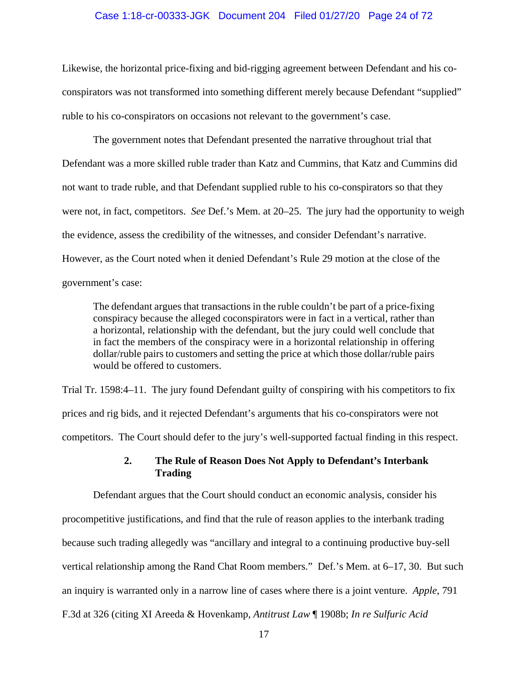#### Case 1:18-cr-00333-JGK Document 204 Filed 01/27/20 Page 24 of 72

Likewise, the horizontal price-fixing and bid-rigging agreement between Defendant and his coconspirators was not transformed into something different merely because Defendant "supplied" ruble to his co-conspirators on occasions not relevant to the government's case.

 The government notes that Defendant presented the narrative throughout trial that Defendant was a more skilled ruble trader than Katz and Cummins, that Katz and Cummins did not want to trade ruble, and that Defendant supplied ruble to his co-conspirators so that they were not, in fact, competitors. *See* Def.'s Mem. at 20–25. The jury had the opportunity to weigh the evidence, assess the credibility of the witnesses, and consider Defendant's narrative. However, as the Court noted when it denied Defendant's Rule 29 motion at the close of the government's case:

The defendant argues that transactions in the ruble couldn't be part of a price-fixing conspiracy because the alleged coconspirators were in fact in a vertical, rather than a horizontal, relationship with the defendant, but the jury could well conclude that in fact the members of the conspiracy were in a horizontal relationship in offering dollar/ruble pairs to customers and setting the price at which those dollar/ruble pairs would be offered to customers.

Trial Tr. 1598:4–11. The jury found Defendant guilty of conspiring with his competitors to fix prices and rig bids, and it rejected Defendant's arguments that his co-conspirators were not competitors. The Court should defer to the jury's well-supported factual finding in this respect.

### **2. The Rule of Reason Does Not Apply to Defendant's Interbank Trading**

 Defendant argues that the Court should conduct an economic analysis, consider his procompetitive justifications, and find that the rule of reason applies to the interbank trading because such trading allegedly was "ancillary and integral to a continuing productive buy-sell vertical relationship among the Rand Chat Room members." Def.'s Mem. at 6–17, 30. But such an inquiry is warranted only in a narrow line of cases where there is a joint venture. *Apple*, 791 F.3d at 326 (citing XI Areeda & Hovenkamp, *Antitrust Law* ¶ 1908b; *In re Sulfuric Acid*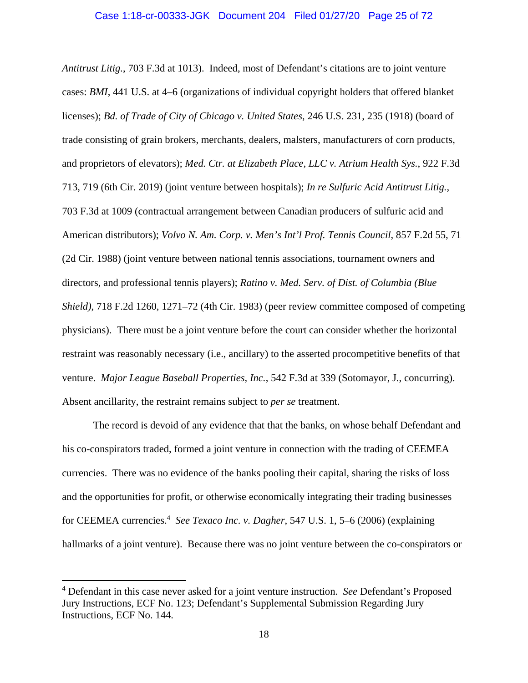*Antitrust Litig.*, 703 F.3d at 1013). Indeed, most of Defendant's citations are to joint venture cases: *BMI*, 441 U.S. at 4–6 (organizations of individual copyright holders that offered blanket licenses); *Bd. of Trade of City of Chicago v. United States*, 246 U.S. 231, 235 (1918) (board of trade consisting of grain brokers, merchants, dealers, malsters, manufacturers of corn products, and proprietors of elevators); *Med. Ctr. at Elizabeth Place, LLC v. Atrium Health Sys.*, 922 F.3d 713, 719 (6th Cir. 2019) (joint venture between hospitals); *In re Sulfuric Acid Antitrust Litig.*, 703 F.3d at 1009 (contractual arrangement between Canadian producers of sulfuric acid and American distributors); *Volvo N. Am. Corp. v. Men's Int'l Prof. Tennis Council*, 857 F.2d 55, 71 (2d Cir. 1988) (joint venture between national tennis associations, tournament owners and directors, and professional tennis players); *Ratino v. Med. Serv. of Dist. of Columbia (Blue Shield)*, 718 F.2d 1260, 1271–72 (4th Cir. 1983) (peer review committee composed of competing physicians). There must be a joint venture before the court can consider whether the horizontal restraint was reasonably necessary (i.e., ancillary) to the asserted procompetitive benefits of that venture. *Major League Baseball Properties, Inc.*, 542 F.3d at 339 (Sotomayor, J., concurring). Absent ancillarity, the restraint remains subject to *per se* treatment.

 The record is devoid of any evidence that that the banks, on whose behalf Defendant and his co-conspirators traded, formed a joint venture in connection with the trading of CEEMEA currencies. There was no evidence of the banks pooling their capital, sharing the risks of loss and the opportunities for profit, or otherwise economically integrating their trading businesses for CEEMEA currencies.<sup>4</sup> See Texaco Inc. v. Dagher, 547 U.S. 1, 5–6 (2006) (explaining hallmarks of a joint venture). Because there was no joint venture between the co-conspirators or

 $\overline{a}$ 

<sup>4</sup> Defendant in this case never asked for a joint venture instruction. *See* Defendant's Proposed Jury Instructions, ECF No. 123; Defendant's Supplemental Submission Regarding Jury Instructions, ECF No. 144.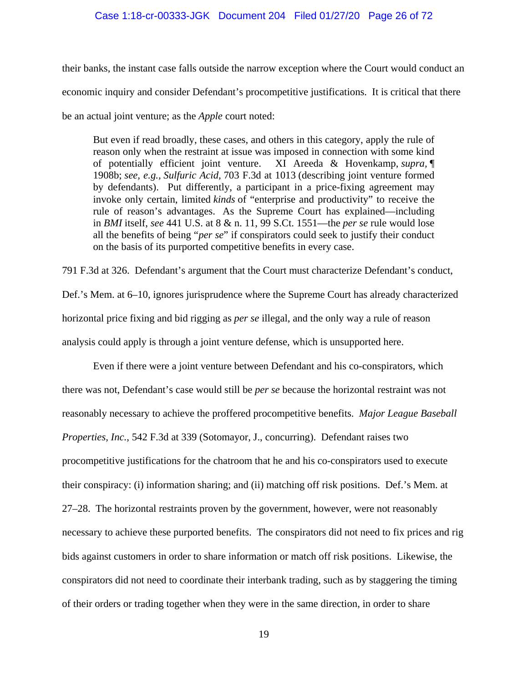their banks, the instant case falls outside the narrow exception where the Court would conduct an economic inquiry and consider Defendant's procompetitive justifications. It is critical that there be an actual joint venture; as the *Apple* court noted:

But even if read broadly, these cases, and others in this category, apply the rule of reason only when the restraint at issue was imposed in connection with some kind of potentially efficient joint venture. XI Areeda & Hovenkamp, *supra,* ¶ 1908b; *see, e.g., Sulfuric Acid,* 703 F.3d at 1013 (describing joint venture formed by defendants). Put differently, a participant in a price-fixing agreement may invoke only certain, limited *kinds* of "enterprise and productivity" to receive the rule of reason's advantages. As the Supreme Court has explained—including in *BMI* itself, *see* 441 U.S. at 8 & n. 11, 99 S.Ct. 1551—the *per se* rule would lose all the benefits of being "*per se*" if conspirators could seek to justify their conduct on the basis of its purported competitive benefits in every case.

791 F.3d at 326. Defendant's argument that the Court must characterize Defendant's conduct,

Def.'s Mem. at 6–10, ignores jurisprudence where the Supreme Court has already characterized horizontal price fixing and bid rigging as *per se* illegal, and the only way a rule of reason analysis could apply is through a joint venture defense, which is unsupported here.

 Even if there were a joint venture between Defendant and his co-conspirators, which there was not, Defendant's case would still be *per se* because the horizontal restraint was not reasonably necessary to achieve the proffered procompetitive benefits. *Major League Baseball Properties, Inc.*, 542 F.3d at 339 (Sotomayor, J., concurring). Defendant raises two procompetitive justifications for the chatroom that he and his co-conspirators used to execute their conspiracy: (i) information sharing; and (ii) matching off risk positions. Def.'s Mem. at 27–28. The horizontal restraints proven by the government, however, were not reasonably necessary to achieve these purported benefits. The conspirators did not need to fix prices and rig bids against customers in order to share information or match off risk positions. Likewise, the conspirators did not need to coordinate their interbank trading, such as by staggering the timing of their orders or trading together when they were in the same direction, in order to share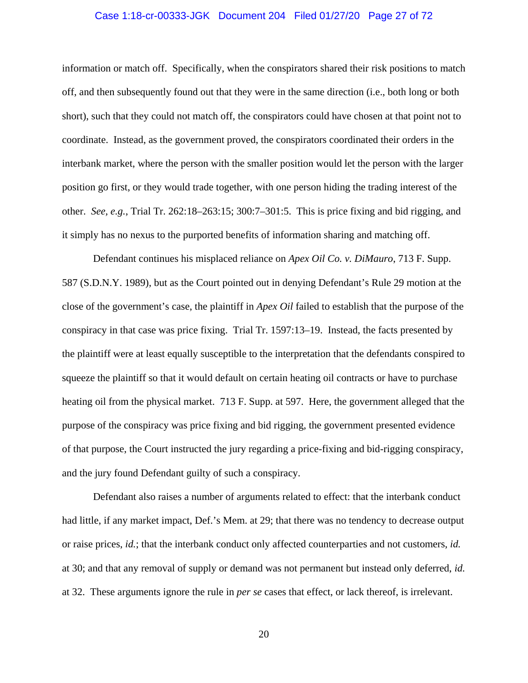#### Case 1:18-cr-00333-JGK Document 204 Filed 01/27/20 Page 27 of 72

information or match off. Specifically, when the conspirators shared their risk positions to match off, and then subsequently found out that they were in the same direction (i.e., both long or both short), such that they could not match off, the conspirators could have chosen at that point not to coordinate. Instead, as the government proved, the conspirators coordinated their orders in the interbank market, where the person with the smaller position would let the person with the larger position go first, or they would trade together, with one person hiding the trading interest of the other. *See, e.g.*, Trial Tr. 262:18–263:15; 300:7–301:5. This is price fixing and bid rigging, and it simply has no nexus to the purported benefits of information sharing and matching off.

 Defendant continues his misplaced reliance on *Apex Oil Co. v. DiMauro*, 713 F. Supp. 587 (S.D.N.Y. 1989), but as the Court pointed out in denying Defendant's Rule 29 motion at the close of the government's case, the plaintiff in *Apex Oil* failed to establish that the purpose of the conspiracy in that case was price fixing. Trial Tr. 1597:13–19. Instead, the facts presented by the plaintiff were at least equally susceptible to the interpretation that the defendants conspired to squeeze the plaintiff so that it would default on certain heating oil contracts or have to purchase heating oil from the physical market. 713 F. Supp. at 597. Here, the government alleged that the purpose of the conspiracy was price fixing and bid rigging, the government presented evidence of that purpose, the Court instructed the jury regarding a price-fixing and bid-rigging conspiracy, and the jury found Defendant guilty of such a conspiracy.

 Defendant also raises a number of arguments related to effect: that the interbank conduct had little, if any market impact, Def.'s Mem. at 29; that there was no tendency to decrease output or raise prices, *id.*; that the interbank conduct only affected counterparties and not customers, *id.* at 30; and that any removal of supply or demand was not permanent but instead only deferred, *id.* at 32. These arguments ignore the rule in *per se* cases that effect, or lack thereof, is irrelevant.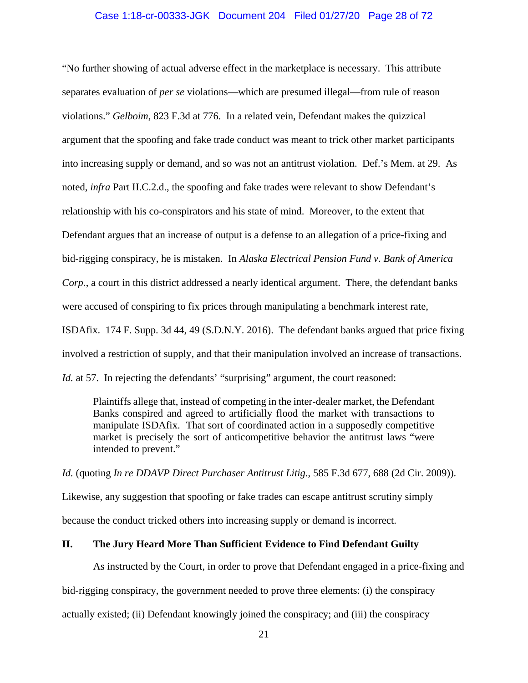#### Case 1:18-cr-00333-JGK Document 204 Filed 01/27/20 Page 28 of 72

"No further showing of actual adverse effect in the marketplace is necessary. This attribute separates evaluation of *per se* violations—which are presumed illegal—from rule of reason violations." *Gelboim*, 823 F.3d at 776. In a related vein, Defendant makes the quizzical argument that the spoofing and fake trade conduct was meant to trick other market participants into increasing supply or demand, and so was not an antitrust violation. Def.'s Mem. at 29. As noted, *infra* Part II.C.2.d., the spoofing and fake trades were relevant to show Defendant's relationship with his co-conspirators and his state of mind. Moreover, to the extent that Defendant argues that an increase of output is a defense to an allegation of a price-fixing and bid-rigging conspiracy, he is mistaken. In *Alaska Electrical Pension Fund v. Bank of America Corp.*, a court in this district addressed a nearly identical argument. There, the defendant banks were accused of conspiring to fix prices through manipulating a benchmark interest rate, ISDAfix. 174 F. Supp. 3d 44, 49 (S.D.N.Y. 2016). The defendant banks argued that price fixing involved a restriction of supply, and that their manipulation involved an increase of transactions. *Id.* at 57. In rejecting the defendants' "surprising" argument, the court reasoned:

Plaintiffs allege that, instead of competing in the inter-dealer market, the Defendant Banks conspired and agreed to artificially flood the market with transactions to manipulate ISDAfix. That sort of coordinated action in a supposedly competitive market is precisely the sort of anticompetitive behavior the antitrust laws "were intended to prevent."

*Id.* (quoting *In re DDAVP Direct Purchaser Antitrust Litig.*, 585 F.3d 677, 688 (2d Cir. 2009)).

Likewise, any suggestion that spoofing or fake trades can escape antitrust scrutiny simply because the conduct tricked others into increasing supply or demand is incorrect.

#### **II. The Jury Heard More Than Sufficient Evidence to Find Defendant Guilty**

As instructed by the Court, in order to prove that Defendant engaged in a price-fixing and

bid-rigging conspiracy, the government needed to prove three elements: (i) the conspiracy

actually existed; (ii) Defendant knowingly joined the conspiracy; and (iii) the conspiracy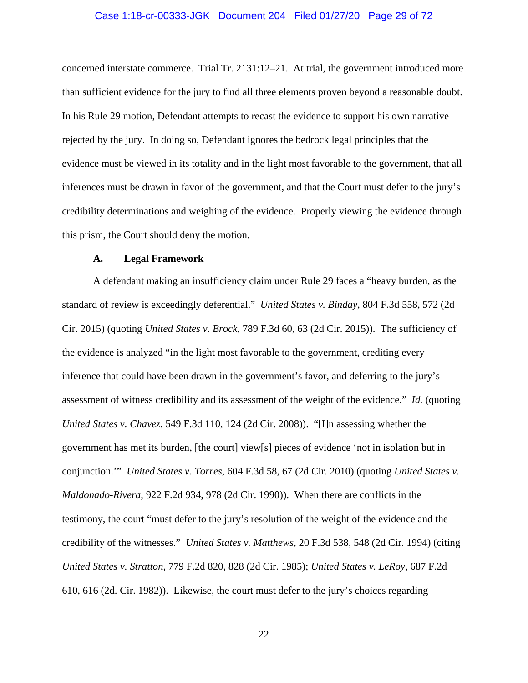#### Case 1:18-cr-00333-JGK Document 204 Filed 01/27/20 Page 29 of 72

concerned interstate commerce. Trial Tr. 2131:12–21. At trial, the government introduced more than sufficient evidence for the jury to find all three elements proven beyond a reasonable doubt. In his Rule 29 motion, Defendant attempts to recast the evidence to support his own narrative rejected by the jury. In doing so, Defendant ignores the bedrock legal principles that the evidence must be viewed in its totality and in the light most favorable to the government, that all inferences must be drawn in favor of the government, and that the Court must defer to the jury's credibility determinations and weighing of the evidence. Properly viewing the evidence through this prism, the Court should deny the motion.

#### **A. Legal Framework**

A defendant making an insufficiency claim under Rule 29 faces a "heavy burden, as the standard of review is exceedingly deferential." *United States v. Binday*, 804 F.3d 558, 572 (2d Cir. 2015) (quoting *United States v. Brock*, 789 F.3d 60, 63 (2d Cir. 2015)). The sufficiency of the evidence is analyzed "in the light most favorable to the government, crediting every inference that could have been drawn in the government's favor, and deferring to the jury's assessment of witness credibility and its assessment of the weight of the evidence." *Id.* (quoting *United States v. Chavez*, 549 F.3d 110, 124 (2d Cir. 2008)). "[I]n assessing whether the government has met its burden, [the court] view[s] pieces of evidence 'not in isolation but in conjunction.'" *United States v. Torres*, 604 F.3d 58, 67 (2d Cir. 2010) (quoting *United States v. Maldonado-Rivera*, 922 F.2d 934, 978 (2d Cir. 1990)). When there are conflicts in the testimony, the court "must defer to the jury's resolution of the weight of the evidence and the credibility of the witnesses." *United States v. Matthews*, 20 F.3d 538, 548 (2d Cir. 1994) (citing *United States v. Stratton*, 779 F.2d 820, 828 (2d Cir. 1985); *United States v. LeRoy*, 687 F.2d 610, 616 (2d. Cir. 1982)). Likewise, the court must defer to the jury's choices regarding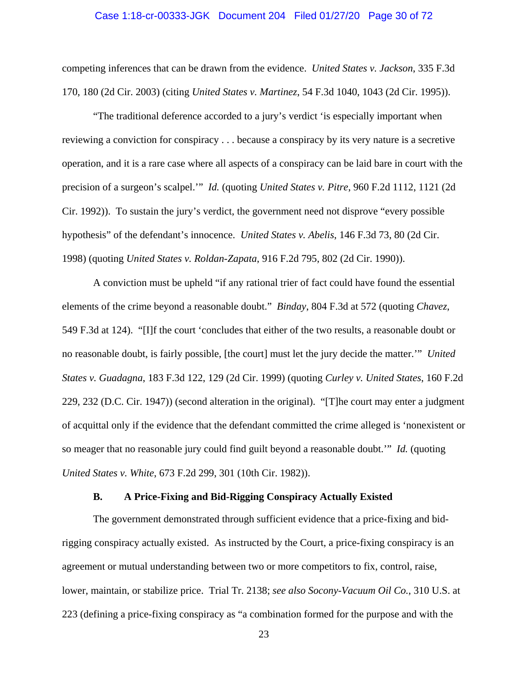#### Case 1:18-cr-00333-JGK Document 204 Filed 01/27/20 Page 30 of 72

competing inferences that can be drawn from the evidence. *United States v. Jackson*, 335 F.3d 170, 180 (2d Cir. 2003) (citing *United States v. Martinez*, 54 F.3d 1040, 1043 (2d Cir. 1995)).

"The traditional deference accorded to a jury's verdict 'is especially important when reviewing a conviction for conspiracy . . . because a conspiracy by its very nature is a secretive operation, and it is a rare case where all aspects of a conspiracy can be laid bare in court with the precision of a surgeon's scalpel.'" *Id.* (quoting *United States v. Pitre*, 960 F.2d 1112, 1121 (2d Cir. 1992)). To sustain the jury's verdict, the government need not disprove "every possible hypothesis" of the defendant's innocence. *United States v. Abelis*, 146 F.3d 73, 80 (2d Cir. 1998) (quoting *United States v. Roldan-Zapata*, 916 F.2d 795, 802 (2d Cir. 1990)).

A conviction must be upheld "if any rational trier of fact could have found the essential elements of the crime beyond a reasonable doubt." *Binday*, 804 F.3d at 572 (quoting *Chavez*, 549 F.3d at 124). "[I]f the court 'concludes that either of the two results, a reasonable doubt or no reasonable doubt, is fairly possible, [the court] must let the jury decide the matter.'" *United States v. Guadagna*, 183 F.3d 122, 129 (2d Cir. 1999) (quoting *Curley v. United States*, 160 F.2d 229, 232 (D.C. Cir. 1947)) (second alteration in the original). "[T]he court may enter a judgment of acquittal only if the evidence that the defendant committed the crime alleged is 'nonexistent or so meager that no reasonable jury could find guilt beyond a reasonable doubt.'" *Id.* (quoting *United States v. White*, 673 F.2d 299, 301 (10th Cir. 1982)).

#### **B. A Price-Fixing and Bid-Rigging Conspiracy Actually Existed**

The government demonstrated through sufficient evidence that a price-fixing and bidrigging conspiracy actually existed. As instructed by the Court, a price-fixing conspiracy is an agreement or mutual understanding between two or more competitors to fix, control, raise, lower, maintain, or stabilize price. Trial Tr. 2138; *see also Socony-Vacuum Oil Co.*, 310 U.S. at 223 (defining a price-fixing conspiracy as "a combination formed for the purpose and with the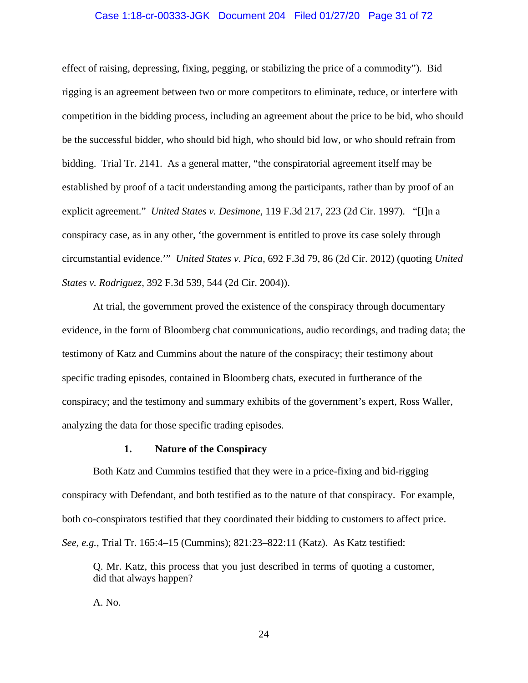#### Case 1:18-cr-00333-JGK Document 204 Filed 01/27/20 Page 31 of 72

effect of raising, depressing, fixing, pegging, or stabilizing the price of a commodity"). Bid rigging is an agreement between two or more competitors to eliminate, reduce, or interfere with competition in the bidding process, including an agreement about the price to be bid, who should be the successful bidder, who should bid high, who should bid low, or who should refrain from bidding. Trial Tr. 2141. As a general matter, "the conspiratorial agreement itself may be established by proof of a tacit understanding among the participants, rather than by proof of an explicit agreement." *United States v. Desimone*, 119 F.3d 217, 223 (2d Cir. 1997). "[I]n a conspiracy case, as in any other, 'the government is entitled to prove its case solely through circumstantial evidence.'" *United States v. Pica*, 692 F.3d 79, 86 (2d Cir. 2012) (quoting *United States v. Rodriguez*, 392 F.3d 539, 544 (2d Cir. 2004)).

At trial, the government proved the existence of the conspiracy through documentary evidence, in the form of Bloomberg chat communications, audio recordings, and trading data; the testimony of Katz and Cummins about the nature of the conspiracy; their testimony about specific trading episodes, contained in Bloomberg chats, executed in furtherance of the conspiracy; and the testimony and summary exhibits of the government's expert, Ross Waller, analyzing the data for those specific trading episodes.

#### **1. Nature of the Conspiracy**

 Both Katz and Cummins testified that they were in a price-fixing and bid-rigging conspiracy with Defendant, and both testified as to the nature of that conspiracy. For example, both co-conspirators testified that they coordinated their bidding to customers to affect price. *See, e.g.*, Trial Tr. 165:4–15 (Cummins); 821:23–822:11 (Katz). As Katz testified:

Q. Mr. Katz, this process that you just described in terms of quoting a customer, did that always happen?

A. No.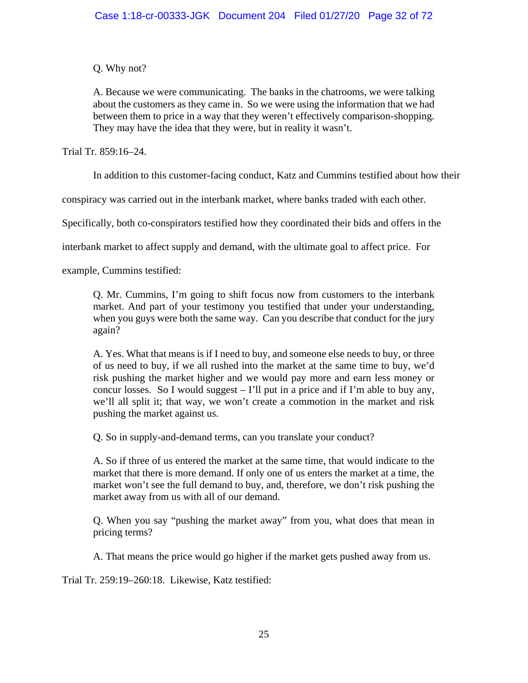Q. Why not?

A. Because we were communicating. The banks in the chatrooms, we were talking about the customers as they came in. So we were using the information that we had between them to price in a way that they weren't effectively comparison-shopping. They may have the idea that they were, but in reality it wasn't.

Trial Tr. 859:16–24.

In addition to this customer-facing conduct, Katz and Cummins testified about how their

conspiracy was carried out in the interbank market, where banks traded with each other.

Specifically, both co-conspirators testified how they coordinated their bids and offers in the

interbank market to affect supply and demand, with the ultimate goal to affect price. For

example, Cummins testified:

Q. Mr. Cummins, I'm going to shift focus now from customers to the interbank market. And part of your testimony you testified that under your understanding, when you guys were both the same way. Can you describe that conduct for the jury again?

A. Yes. What that means is if I need to buy, and someone else needs to buy, or three of us need to buy, if we all rushed into the market at the same time to buy, we'd risk pushing the market higher and we would pay more and earn less money or concur losses. So I would suggest – I'll put in a price and if I'm able to buy any, we'll all split it; that way, we won't create a commotion in the market and risk pushing the market against us.

Q. So in supply-and-demand terms, can you translate your conduct?

A. So if three of us entered the market at the same time, that would indicate to the market that there is more demand. If only one of us enters the market at a time, the market won't see the full demand to buy, and, therefore, we don't risk pushing the market away from us with all of our demand.

Q. When you say "pushing the market away" from you, what does that mean in pricing terms?

A. That means the price would go higher if the market gets pushed away from us.

Trial Tr. 259:19–260:18. Likewise, Katz testified: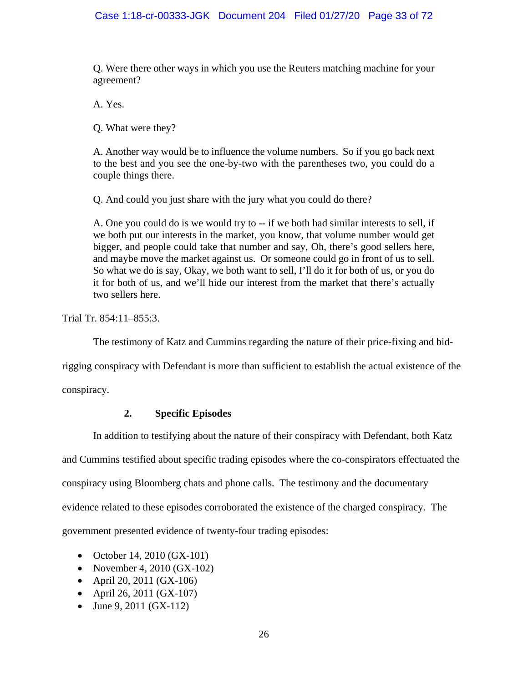Q. Were there other ways in which you use the Reuters matching machine for your agreement?

A. Yes.

Q. What were they?

A. Another way would be to influence the volume numbers. So if you go back next to the best and you see the one-by-two with the parentheses two, you could do a couple things there.

Q. And could you just share with the jury what you could do there?

A. One you could do is we would try to -- if we both had similar interests to sell, if we both put our interests in the market, you know, that volume number would get bigger, and people could take that number and say, Oh, there's good sellers here, and maybe move the market against us. Or someone could go in front of us to sell. So what we do is say, Okay, we both want to sell, I'll do it for both of us, or you do it for both of us, and we'll hide our interest from the market that there's actually two sellers here.

Trial Tr. 854:11–855:3.

The testimony of Katz and Cummins regarding the nature of their price-fixing and bid-

rigging conspiracy with Defendant is more than sufficient to establish the actual existence of the

conspiracy.

## **2. Specific Episodes**

In addition to testifying about the nature of their conspiracy with Defendant, both Katz

and Cummins testified about specific trading episodes where the co-conspirators effectuated the

conspiracy using Bloomberg chats and phone calls. The testimony and the documentary

evidence related to these episodes corroborated the existence of the charged conspiracy. The

government presented evidence of twenty-four trading episodes:

- October 14, 2010 (GX-101)
- November 4, 2010 (GX-102)
- April 20, 2011 (GX-106)
- April 26, 2011 ( $GX-107$ )
- June 9, 2011 ( $GX-112$ )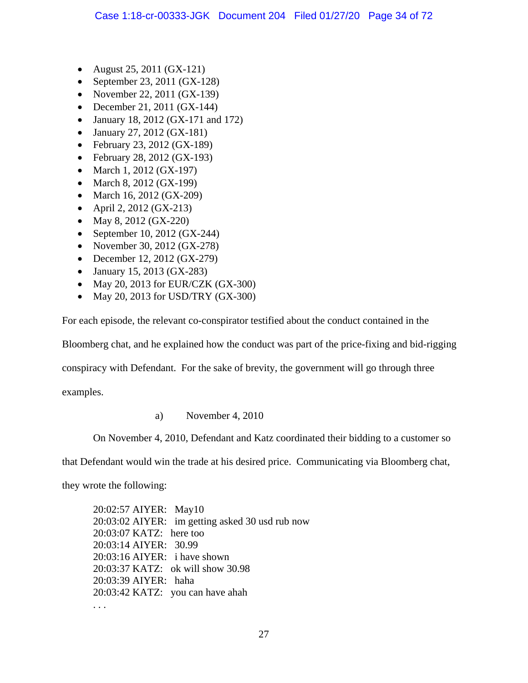- August 25, 2011 ( $GX-121$ )
- September 23, 2011 (GX-128)
- November 22, 2011 (GX-139)
- December 21, 2011 (GX-144)
- January 18, 2012 (GX-171 and 172)
- January 27, 2012 (GX-181)
- February 23, 2012 (GX-189)
- February 28, 2012 (GX-193)
- March 1, 2012 ( $GX-197$ )
- March 8, 2012 ( $GX-199$ )
- March 16, 2012 ( $GX-209$ )
- April 2, 2012 (GX-213)
- May 8, 2012 ( $GX-220$ )
- September 10, 2012 ( $GX-244$ )
- November 30, 2012 (GX-278)
- December 12, 2012 (GX-279)
- January 15, 2013 (GX-283)
- May 20, 2013 for EUR/CZK (GX-300)
- May 20, 2013 for USD/TRY  $(GX-300)$

For each episode, the relevant co-conspirator testified about the conduct contained in the

Bloomberg chat, and he explained how the conduct was part of the price-fixing and bid-rigging

conspiracy with Defendant. For the sake of brevity, the government will go through three

examples.

a) November 4, 2010

On November 4, 2010, Defendant and Katz coordinated their bidding to a customer so

that Defendant would win the trade at his desired price. Communicating via Bloomberg chat,

they wrote the following:

20:02:57 AIYER: May10 20:03:02 AIYER: im getting asked 30 usd rub now 20:03:07 KATZ: here too 20:03:14 AIYER: 30.99 20:03:16 AIYER: i have shown 20:03:37 KATZ: ok will show 30.98 20:03:39 AIYER: haha 20:03:42 KATZ: you can have ahah . . .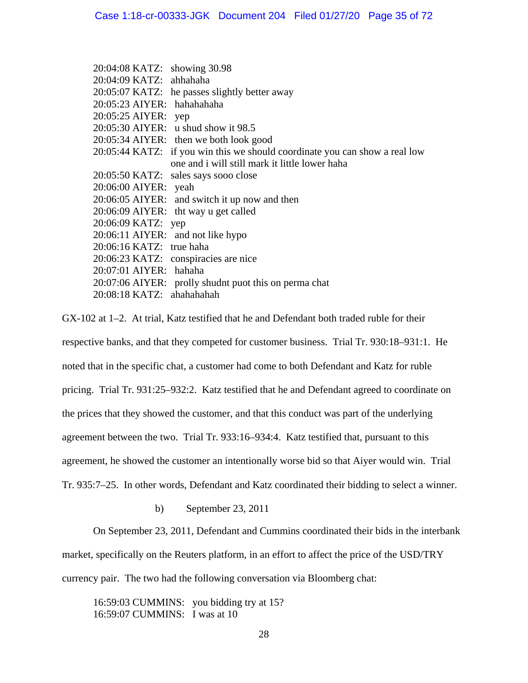|                        | 20:04:08 KATZ: showing 30.98                                                |
|------------------------|-----------------------------------------------------------------------------|
|                        | 20:04:09 KATZ: ahhahaha                                                     |
|                        | 20:05:07 KATZ: he passes slightly better away                               |
|                        | 20:05:23 AIYER: hahahahaha                                                  |
| 20:05:25 AIYER: yep    |                                                                             |
|                        | 20:05:30 AIYER: u shud show it 98.5                                         |
|                        | 20:05:34 AIYER: then we both look good                                      |
|                        | 20:05:44 KATZ: if you win this we should coordinate you can show a real low |
|                        | one and i will still mark it little lower haha                              |
|                        | 20:05:50 KATZ: sales says sooo close                                        |
| 20:06:00 AIYER: yeah   |                                                                             |
|                        | 20:06:05 AIYER: and switch it up now and then                               |
|                        | 20:06:09 AIYER: tht way u get called                                        |
| 20:06:09 KATZ: yep     |                                                                             |
|                        | 20:06:11 AIYER: and not like hypo                                           |
|                        | 20:06:16 KATZ: true haha                                                    |
|                        | 20:06:23 KATZ: conspiracies are nice                                        |
| 20:07:01 AIYER: hahaha |                                                                             |
|                        | 20:07:06 AIYER: prolly shudnt puot this on perma chat                       |
|                        | 20:08:18 KATZ: ahahahahah                                                   |

GX-102 at 1–2. At trial, Katz testified that he and Defendant both traded ruble for their respective banks, and that they competed for customer business. Trial Tr. 930:18–931:1. He noted that in the specific chat, a customer had come to both Defendant and Katz for ruble pricing. Trial Tr. 931:25–932:2. Katz testified that he and Defendant agreed to coordinate on the prices that they showed the customer, and that this conduct was part of the underlying agreement between the two. Trial Tr. 933:16–934:4. Katz testified that, pursuant to this agreement, he showed the customer an intentionally worse bid so that Aiyer would win. Trial Tr. 935:7–25. In other words, Defendant and Katz coordinated their bidding to select a winner.

b) September 23, 2011

On September 23, 2011, Defendant and Cummins coordinated their bids in the interbank

market, specifically on the Reuters platform, in an effort to affect the price of the USD/TRY

currency pair. The two had the following conversation via Bloomberg chat:

16:59:03 CUMMINS: you bidding try at 15? 16:59:07 CUMMINS: I was at 10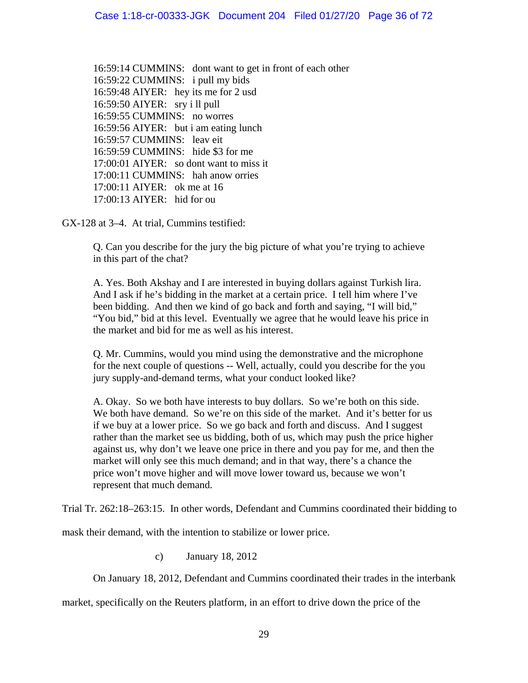16:59:14 CUMMINS: dont want to get in front of each other 16:59:22 CUMMINS: i pull my bids 16:59:48 AIYER: hey its me for 2 usd 16:59:50 AIYER: sry i ll pull 16:59:55 CUMMINS: no worres 16:59:56 AIYER: but i am eating lunch 16:59:57 CUMMINS: leav eit 16:59:59 CUMMINS: hide \$3 for me 17:00:01 AIYER: so dont want to miss it 17:00:11 CUMMINS: hah anow orries 17:00:11 AIYER: ok me at 16 17:00:13 AIYER: hid for ou

GX-128 at 3–4. At trial, Cummins testified:

Q. Can you describe for the jury the big picture of what you're trying to achieve in this part of the chat?

A. Yes. Both Akshay and I are interested in buying dollars against Turkish lira. And I ask if he's bidding in the market at a certain price. I tell him where I've been bidding. And then we kind of go back and forth and saying, "I will bid," "You bid," bid at this level. Eventually we agree that he would leave his price in the market and bid for me as well as his interest.

Q. Mr. Cummins, would you mind using the demonstrative and the microphone for the next couple of questions -- Well, actually, could you describe for the you jury supply-and-demand terms, what your conduct looked like?

A. Okay. So we both have interests to buy dollars. So we're both on this side. We both have demand. So we're on this side of the market. And it's better for us if we buy at a lower price. So we go back and forth and discuss. And I suggest rather than the market see us bidding, both of us, which may push the price higher against us, why don't we leave one price in there and you pay for me, and then the market will only see this much demand; and in that way, there's a chance the price won't move higher and will move lower toward us, because we won't represent that much demand.

Trial Tr. 262:18–263:15. In other words, Defendant and Cummins coordinated their bidding to

mask their demand, with the intention to stabilize or lower price.

c) January 18, 2012

On January 18, 2012, Defendant and Cummins coordinated their trades in the interbank

market, specifically on the Reuters platform, in an effort to drive down the price of the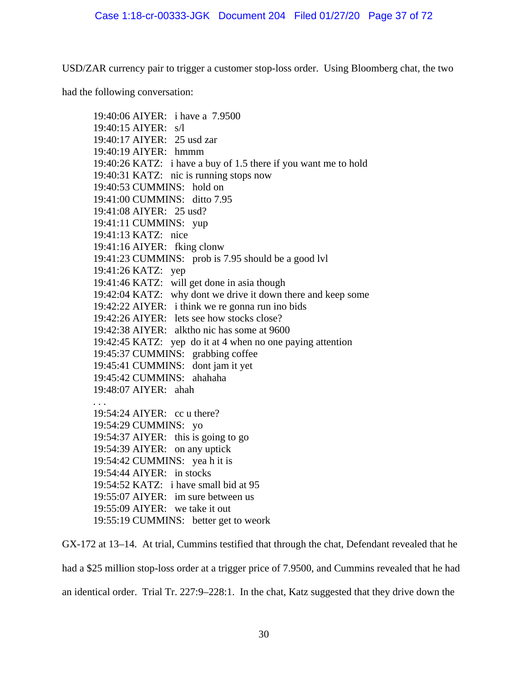USD/ZAR currency pair to trigger a customer stop-loss order. Using Bloomberg chat, the two

had the following conversation:

19:40:06 AIYER: i have a 7.9500 19:40:15 AIYER: s/l 19:40:17 AIYER: 25 usd zar 19:40:19 AIYER: hmmm 19:40:26 KATZ: i have a buy of 1.5 there if you want me to hold 19:40:31 KATZ: nic is running stops now 19:40:53 CUMMINS: hold on 19:41:00 CUMMINS: ditto 7.95 19:41:08 AIYER: 25 usd? 19:41:11 CUMMINS: yup 19:41:13 KATZ: nice 19:41:16 AIYER: fking clonw 19:41:23 CUMMINS: prob is 7.95 should be a good lvl 19:41:26 KATZ: yep 19:41:46 KATZ: will get done in asia though 19:42:04 KATZ: why dont we drive it down there and keep some 19:42:22 AIYER: i think we re gonna run ino bids 19:42:26 AIYER: lets see how stocks close? 19:42:38 AIYER: alktho nic has some at 9600 19:42:45 KATZ: yep do it at 4 when no one paying attention 19:45:37 CUMMINS: grabbing coffee 19:45:41 CUMMINS: dont jam it yet 19:45:42 CUMMINS: ahahaha 19:48:07 AIYER: ahah . . . 19:54:24 AIYER: cc u there? 19:54:29 CUMMINS: yo 19:54:37 AIYER: this is going to go 19:54:39 AIYER: on any uptick 19:54:42 CUMMINS: yea h it is 19:54:44 AIYER: in stocks 19:54:52 KATZ: i have small bid at 95 19:55:07 AIYER: im sure between us 19:55:09 AIYER: we take it out 19:55:19 CUMMINS: better get to weork

GX-172 at 13–14. At trial, Cummins testified that through the chat, Defendant revealed that he

had a \$25 million stop-loss order at a trigger price of 7.9500, and Cummins revealed that he had an identical order. Trial Tr. 227:9–228:1. In the chat, Katz suggested that they drive down the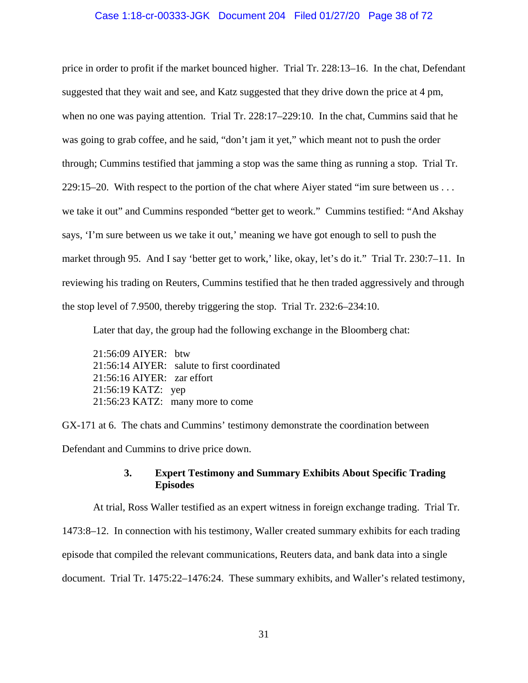#### Case 1:18-cr-00333-JGK Document 204 Filed 01/27/20 Page 38 of 72

price in order to profit if the market bounced higher. Trial Tr. 228:13–16. In the chat, Defendant suggested that they wait and see, and Katz suggested that they drive down the price at 4 pm, when no one was paying attention. Trial Tr. 228:17–229:10. In the chat, Cummins said that he was going to grab coffee, and he said, "don't jam it yet," which meant not to push the order through; Cummins testified that jamming a stop was the same thing as running a stop. Trial Tr. 229:15–20. With respect to the portion of the chat where Aiyer stated "im sure between us . . . we take it out" and Cummins responded "better get to weork." Cummins testified: "And Akshay says, 'I'm sure between us we take it out,' meaning we have got enough to sell to push the market through 95. And I say 'better get to work,' like, okay, let's do it." Trial Tr. 230:7–11. In reviewing his trading on Reuters, Cummins testified that he then traded aggressively and through the stop level of 7.9500, thereby triggering the stop. Trial Tr. 232:6–234:10.

Later that day, the group had the following exchange in the Bloomberg chat:

21:56:09 AIYER: btw 21:56:14 AIYER: salute to first coordinated 21:56:16 AIYER: zar effort 21:56:19 KATZ: yep 21:56:23 KATZ: many more to come

GX-171 at 6. The chats and Cummins' testimony demonstrate the coordination between Defendant and Cummins to drive price down.

## **3. Expert Testimony and Summary Exhibits About Specific Trading Episodes**

At trial, Ross Waller testified as an expert witness in foreign exchange trading. Trial Tr.

1473:8–12. In connection with his testimony, Waller created summary exhibits for each trading

episode that compiled the relevant communications, Reuters data, and bank data into a single

document. Trial Tr. 1475:22–1476:24. These summary exhibits, and Waller's related testimony,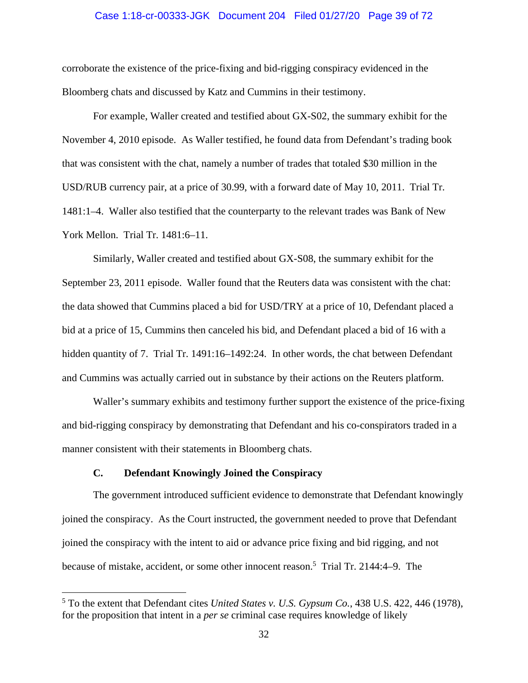#### Case 1:18-cr-00333-JGK Document 204 Filed 01/27/20 Page 39 of 72

corroborate the existence of the price-fixing and bid-rigging conspiracy evidenced in the Bloomberg chats and discussed by Katz and Cummins in their testimony.

 For example, Waller created and testified about GX-S02, the summary exhibit for the November 4, 2010 episode. As Waller testified, he found data from Defendant's trading book that was consistent with the chat, namely a number of trades that totaled \$30 million in the USD/RUB currency pair, at a price of 30.99, with a forward date of May 10, 2011. Trial Tr. 1481:1–4. Waller also testified that the counterparty to the relevant trades was Bank of New York Mellon. Trial Tr. 1481:6–11.

 Similarly, Waller created and testified about GX-S08, the summary exhibit for the September 23, 2011 episode. Waller found that the Reuters data was consistent with the chat: the data showed that Cummins placed a bid for USD/TRY at a price of 10, Defendant placed a bid at a price of 15, Cummins then canceled his bid, and Defendant placed a bid of 16 with a hidden quantity of 7. Trial Tr. 1491:16–1492:24. In other words, the chat between Defendant and Cummins was actually carried out in substance by their actions on the Reuters platform.

 Waller's summary exhibits and testimony further support the existence of the price-fixing and bid-rigging conspiracy by demonstrating that Defendant and his co-conspirators traded in a manner consistent with their statements in Bloomberg chats.

### **C. Defendant Knowingly Joined the Conspiracy**

 $\overline{a}$ 

 The government introduced sufficient evidence to demonstrate that Defendant knowingly joined the conspiracy. As the Court instructed, the government needed to prove that Defendant joined the conspiracy with the intent to aid or advance price fixing and bid rigging, and not because of mistake, accident, or some other innocent reason.<sup>5</sup> Trial Tr. 2144:4–9. The

<sup>5</sup> To the extent that Defendant cites *United States v. U.S. Gypsum Co.*, 438 U.S. 422, 446 (1978), for the proposition that intent in a *per se* criminal case requires knowledge of likely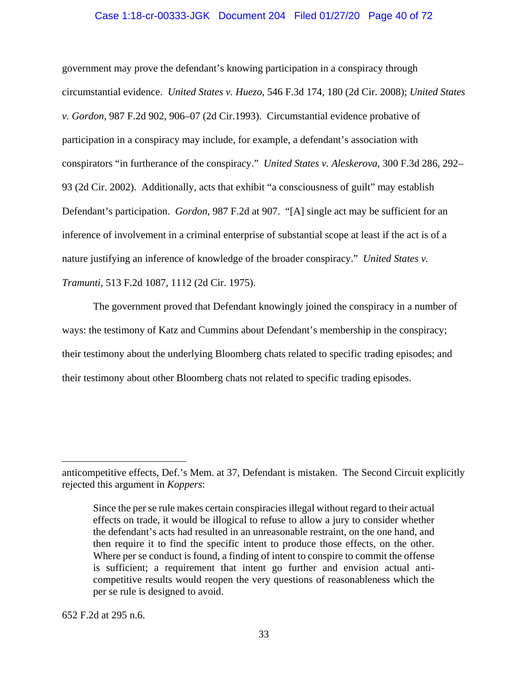#### Case 1:18-cr-00333-JGK Document 204 Filed 01/27/20 Page 40 of 72

government may prove the defendant's knowing participation in a conspiracy through circumstantial evidence. *United States v. Huezo*, 546 F.3d 174, 180 (2d Cir. 2008); *United States v. Gordon*, 987 F.2d 902, 906–07 (2d Cir.1993). Circumstantial evidence probative of participation in a conspiracy may include, for example, a defendant's association with conspirators "in furtherance of the conspiracy." *United States v. Aleskerova*, 300 F.3d 286, 292– 93 (2d Cir. 2002). Additionally, acts that exhibit "a consciousness of guilt" may establish Defendant's participation. *Gordon*, 987 F.2d at 907. "[A] single act may be sufficient for an inference of involvement in a criminal enterprise of substantial scope at least if the act is of a nature justifying an inference of knowledge of the broader conspiracy." *United States v. Tramunti*, 513 F.2d 1087, 1112 (2d Cir. 1975).

 The government proved that Defendant knowingly joined the conspiracy in a number of ways: the testimony of Katz and Cummins about Defendant's membership in the conspiracy; their testimony about the underlying Bloomberg chats related to specific trading episodes; and their testimony about other Bloomberg chats not related to specific trading episodes.

652 F.2d at 295 n.6.

 $\overline{a}$ 

anticompetitive effects, Def.'s Mem. at 37, Defendant is mistaken. The Second Circuit explicitly rejected this argument in *Koppers*:

Since the per se rule makes certain conspiracies illegal without regard to their actual effects on trade, it would be illogical to refuse to allow a jury to consider whether the defendant's acts had resulted in an unreasonable restraint, on the one hand, and then require it to find the specific intent to produce those effects, on the other. Where per se conduct is found, a finding of intent to conspire to commit the offense is sufficient; a requirement that intent go further and envision actual anticompetitive results would reopen the very questions of reasonableness which the per se rule is designed to avoid.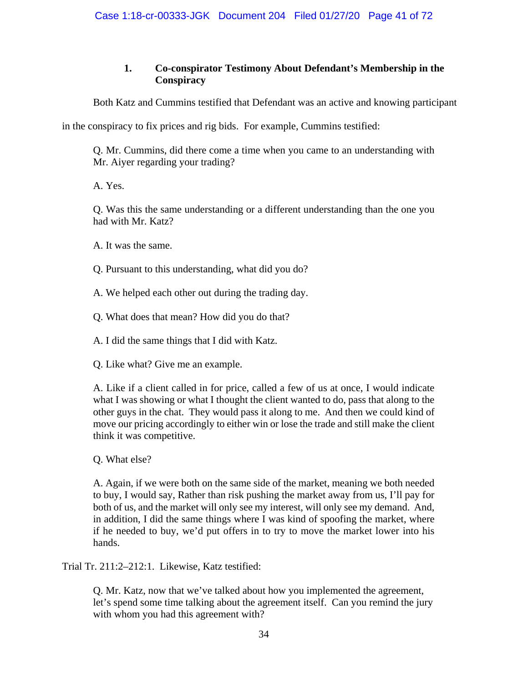# **1. Co-conspirator Testimony About Defendant's Membership in the Conspiracy**

Both Katz and Cummins testified that Defendant was an active and knowing participant

in the conspiracy to fix prices and rig bids. For example, Cummins testified:

Q. Mr. Cummins, did there come a time when you came to an understanding with Mr. Aiyer regarding your trading?

A. Yes.

Q. Was this the same understanding or a different understanding than the one you had with Mr. Katz?

A. It was the same.

Q. Pursuant to this understanding, what did you do?

A. We helped each other out during the trading day.

Q. What does that mean? How did you do that?

A. I did the same things that I did with Katz.

Q. Like what? Give me an example.

A. Like if a client called in for price, called a few of us at once, I would indicate what I was showing or what I thought the client wanted to do, pass that along to the other guys in the chat. They would pass it along to me. And then we could kind of move our pricing accordingly to either win or lose the trade and still make the client think it was competitive.

Q. What else?

A. Again, if we were both on the same side of the market, meaning we both needed to buy, I would say, Rather than risk pushing the market away from us, I'll pay for both of us, and the market will only see my interest, will only see my demand. And, in addition, I did the same things where I was kind of spoofing the market, where if he needed to buy, we'd put offers in to try to move the market lower into his hands.

Trial Tr. 211:2–212:1. Likewise, Katz testified:

Q. Mr. Katz, now that we've talked about how you implemented the agreement, let's spend some time talking about the agreement itself. Can you remind the jury with whom you had this agreement with?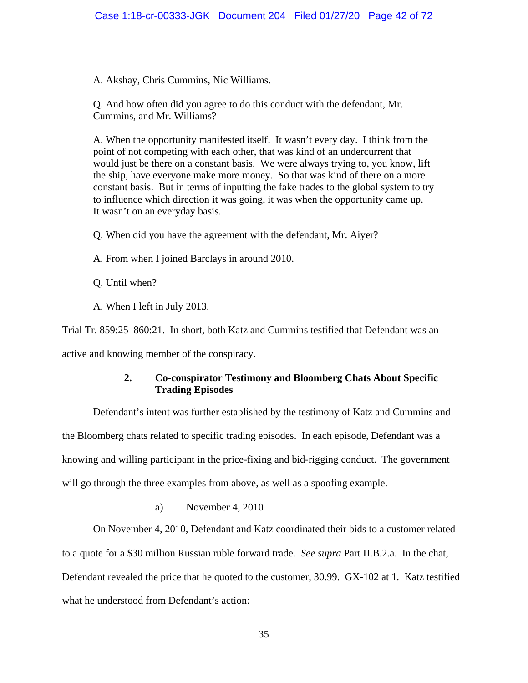A. Akshay, Chris Cummins, Nic Williams.

Q. And how often did you agree to do this conduct with the defendant, Mr. Cummins, and Mr. Williams?

A. When the opportunity manifested itself. It wasn't every day. I think from the point of not competing with each other, that was kind of an undercurrent that would just be there on a constant basis. We were always trying to, you know, lift the ship, have everyone make more money. So that was kind of there on a more constant basis. But in terms of inputting the fake trades to the global system to try to influence which direction it was going, it was when the opportunity came up. It wasn't on an everyday basis.

Q. When did you have the agreement with the defendant, Mr. Aiyer?

A. From when I joined Barclays in around 2010.

Q. Until when?

A. When I left in July 2013.

Trial Tr. 859:25–860:21. In short, both Katz and Cummins testified that Defendant was an

active and knowing member of the conspiracy.

## **2. Co-conspirator Testimony and Bloomberg Chats About Specific Trading Episodes**

Defendant's intent was further established by the testimony of Katz and Cummins and

the Bloomberg chats related to specific trading episodes. In each episode, Defendant was a knowing and willing participant in the price-fixing and bid-rigging conduct. The government will go through the three examples from above, as well as a spoofing example.

a) November 4, 2010

 On November 4, 2010, Defendant and Katz coordinated their bids to a customer related to a quote for a \$30 million Russian ruble forward trade. *See supra* Part II.B.2.a. In the chat, Defendant revealed the price that he quoted to the customer, 30.99. GX-102 at 1. Katz testified what he understood from Defendant's action: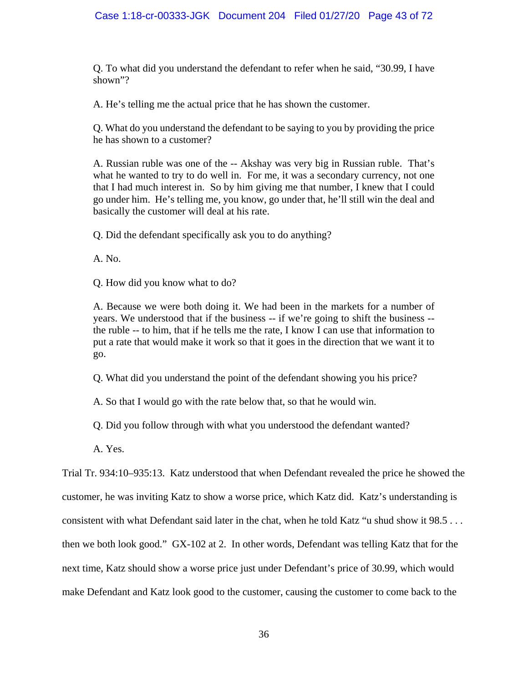## Case 1:18-cr-00333-JGK Document 204 Filed 01/27/20 Page 43 of 72

Q. To what did you understand the defendant to refer when he said, "30.99, I have shown"?

A. He's telling me the actual price that he has shown the customer.

Q. What do you understand the defendant to be saying to you by providing the price he has shown to a customer?

A. Russian ruble was one of the -- Akshay was very big in Russian ruble. That's what he wanted to try to do well in. For me, it was a secondary currency, not one that I had much interest in. So by him giving me that number, I knew that I could go under him. He's telling me, you know, go under that, he'll still win the deal and basically the customer will deal at his rate.

Q. Did the defendant specifically ask you to do anything?

A. No.

Q. How did you know what to do?

A. Because we were both doing it. We had been in the markets for a number of years. We understood that if the business -- if we're going to shift the business - the ruble -- to him, that if he tells me the rate, I know I can use that information to put a rate that would make it work so that it goes in the direction that we want it to go.

Q. What did you understand the point of the defendant showing you his price?

A. So that I would go with the rate below that, so that he would win.

Q. Did you follow through with what you understood the defendant wanted?

A. Yes.

Trial Tr. 934:10–935:13. Katz understood that when Defendant revealed the price he showed the customer, he was inviting Katz to show a worse price, which Katz did. Katz's understanding is consistent with what Defendant said later in the chat, when he told Katz "u shud show it 98.5 . . . then we both look good." GX-102 at 2. In other words, Defendant was telling Katz that for the next time, Katz should show a worse price just under Defendant's price of 30.99, which would make Defendant and Katz look good to the customer, causing the customer to come back to the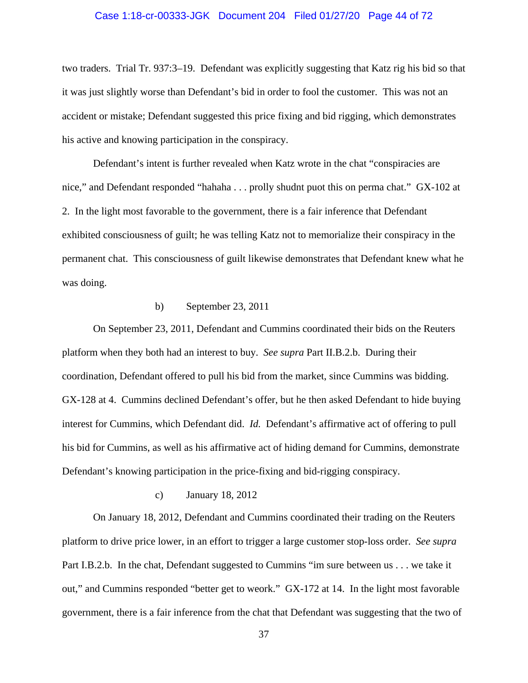#### Case 1:18-cr-00333-JGK Document 204 Filed 01/27/20 Page 44 of 72

two traders. Trial Tr. 937:3–19. Defendant was explicitly suggesting that Katz rig his bid so that it was just slightly worse than Defendant's bid in order to fool the customer. This was not an accident or mistake; Defendant suggested this price fixing and bid rigging, which demonstrates his active and knowing participation in the conspiracy.

 Defendant's intent is further revealed when Katz wrote in the chat "conspiracies are nice," and Defendant responded "hahaha . . . prolly shudnt puot this on perma chat." GX-102 at 2. In the light most favorable to the government, there is a fair inference that Defendant exhibited consciousness of guilt; he was telling Katz not to memorialize their conspiracy in the permanent chat. This consciousness of guilt likewise demonstrates that Defendant knew what he was doing.

### b) September 23, 2011

 On September 23, 2011, Defendant and Cummins coordinated their bids on the Reuters platform when they both had an interest to buy. *See supra* Part II.B.2.b. During their coordination, Defendant offered to pull his bid from the market, since Cummins was bidding. GX-128 at 4. Cummins declined Defendant's offer, but he then asked Defendant to hide buying interest for Cummins, which Defendant did. *Id.* Defendant's affirmative act of offering to pull his bid for Cummins, as well as his affirmative act of hiding demand for Cummins, demonstrate Defendant's knowing participation in the price-fixing and bid-rigging conspiracy.

## c) January 18, 2012

 On January 18, 2012, Defendant and Cummins coordinated their trading on the Reuters platform to drive price lower, in an effort to trigger a large customer stop-loss order. *See supra* Part I.B.2.b. In the chat, Defendant suggested to Cummins "im sure between us . . . we take it out," and Cummins responded "better get to weork." GX-172 at 14. In the light most favorable government, there is a fair inference from the chat that Defendant was suggesting that the two of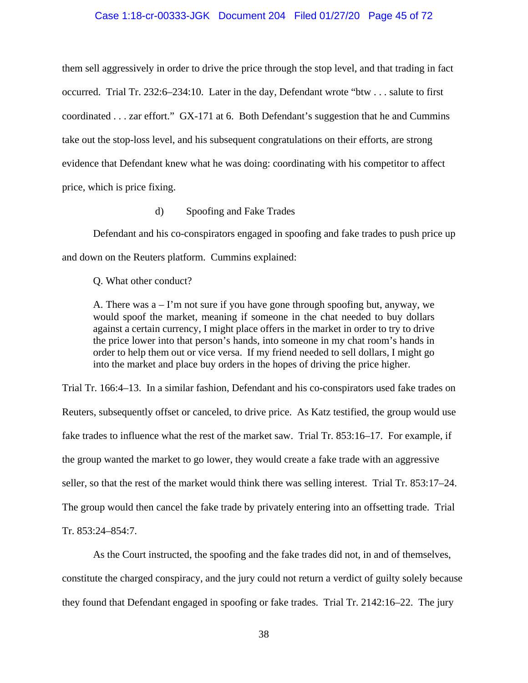#### Case 1:18-cr-00333-JGK Document 204 Filed 01/27/20 Page 45 of 72

them sell aggressively in order to drive the price through the stop level, and that trading in fact occurred. Trial Tr. 232:6–234:10. Later in the day, Defendant wrote "btw . . . salute to first coordinated . . . zar effort." GX-171 at 6. Both Defendant's suggestion that he and Cummins take out the stop-loss level, and his subsequent congratulations on their efforts, are strong evidence that Defendant knew what he was doing: coordinating with his competitor to affect price, which is price fixing.

d) Spoofing and Fake Trades

 Defendant and his co-conspirators engaged in spoofing and fake trades to push price up and down on the Reuters platform. Cummins explained:

Q. What other conduct?

A. There was  $a - I'm$  not sure if you have gone through spoofing but, anyway, we would spoof the market, meaning if someone in the chat needed to buy dollars against a certain currency, I might place offers in the market in order to try to drive the price lower into that person's hands, into someone in my chat room's hands in order to help them out or vice versa. If my friend needed to sell dollars, I might go into the market and place buy orders in the hopes of driving the price higher.

Trial Tr. 166:4–13. In a similar fashion, Defendant and his co-conspirators used fake trades on Reuters, subsequently offset or canceled, to drive price. As Katz testified, the group would use fake trades to influence what the rest of the market saw. Trial Tr. 853:16–17. For example, if the group wanted the market to go lower, they would create a fake trade with an aggressive seller, so that the rest of the market would think there was selling interest. Trial Tr. 853:17–24. The group would then cancel the fake trade by privately entering into an offsetting trade. Trial Tr. 853:24–854:7.

 As the Court instructed, the spoofing and the fake trades did not, in and of themselves, constitute the charged conspiracy, and the jury could not return a verdict of guilty solely because they found that Defendant engaged in spoofing or fake trades. Trial Tr. 2142:16–22. The jury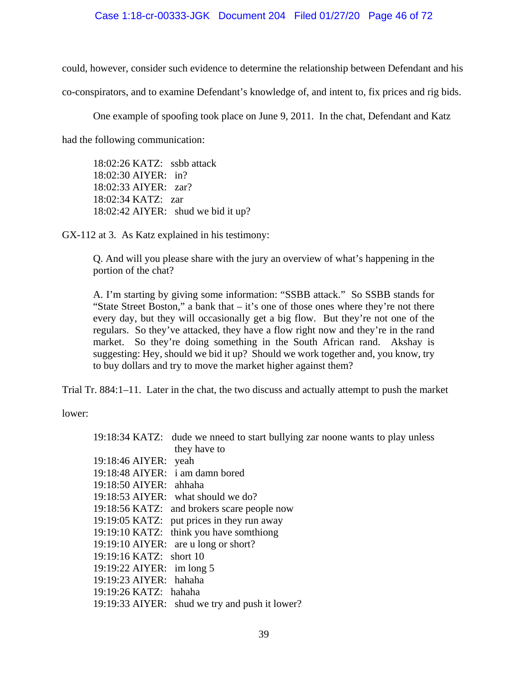#### Case 1:18-cr-00333-JGK Document 204 Filed 01/27/20 Page 46 of 72

could, however, consider such evidence to determine the relationship between Defendant and his co-conspirators, and to examine Defendant's knowledge of, and intent to, fix prices and rig bids.

 One example of spoofing took place on June 9, 2011. In the chat, Defendant and Katz had the following communication:

18:02:26 KATZ: ssbb attack 18:02:30 AIYER: in? 18:02:33 AIYER: zar? 18:02:34 KATZ: zar 18:02:42 AIYER: shud we bid it up?

GX-112 at 3. As Katz explained in his testimony:

Q. And will you please share with the jury an overview of what's happening in the portion of the chat?

A. I'm starting by giving some information: "SSBB attack." So SSBB stands for "State Street Boston," a bank that  $-$  it's one of those ones where they're not there every day, but they will occasionally get a big flow. But they're not one of the regulars. So they've attacked, they have a flow right now and they're in the rand market. So they're doing something in the South African rand. Akshay is suggesting: Hey, should we bid it up? Should we work together and, you know, try to buy dollars and try to move the market higher against them?

Trial Tr. 884:1–11. Later in the chat, the two discuss and actually attempt to push the market

lower:

|                           | 19:18:34 KATZ: dude we nneed to start bullying zar noone wants to play unless |
|---------------------------|-------------------------------------------------------------------------------|
|                           | they have to                                                                  |
| 19:18:46 AIYER: yeah      |                                                                               |
|                           | 19:18:48 AIYER: i am damn bored                                               |
| 19:18:50 AIYER: ahhaha    |                                                                               |
|                           | 19:18:53 AIYER: what should we do?                                            |
|                           | 19:18:56 KATZ: and brokers scare people now                                   |
|                           | 19:19:05 KATZ: put prices in they run away                                    |
|                           | 19:19:10 KATZ: think you have somthiong                                       |
|                           | 19:19:10 AIYER: are u long or short?                                          |
| 19:19:16 KATZ: short 10   |                                                                               |
| 19:19:22 AIYER: im long 5 |                                                                               |
| 19:19:23 AIYER: hahaha    |                                                                               |
| 19:19:26 KATZ: hahaha     |                                                                               |
|                           | 19:19:33 AIYER: shud we try and push it lower?                                |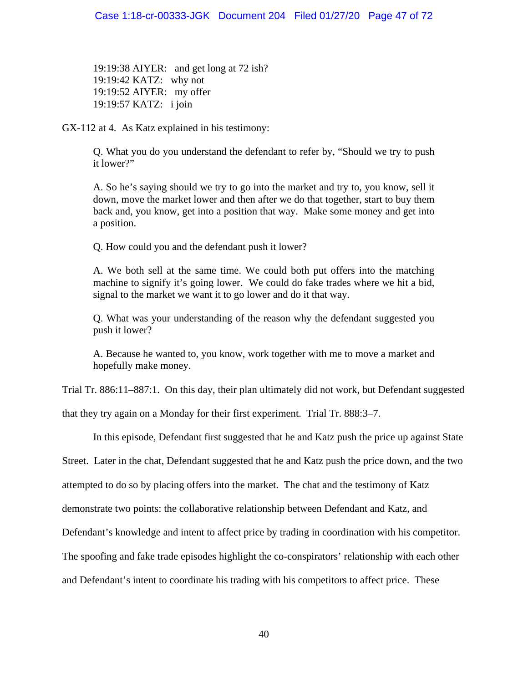19:19:38 AIYER: and get long at 72 ish? 19:19:42 KATZ: why not 19:19:52 AIYER: my offer 19:19:57 KATZ: i join

GX-112 at 4. As Katz explained in his testimony:

Q. What you do you understand the defendant to refer by, "Should we try to push it lower?"

A. So he's saying should we try to go into the market and try to, you know, sell it down, move the market lower and then after we do that together, start to buy them back and, you know, get into a position that way. Make some money and get into a position.

Q. How could you and the defendant push it lower?

A. We both sell at the same time. We could both put offers into the matching machine to signify it's going lower. We could do fake trades where we hit a bid, signal to the market we want it to go lower and do it that way.

Q. What was your understanding of the reason why the defendant suggested you push it lower?

A. Because he wanted to, you know, work together with me to move a market and hopefully make money.

Trial Tr. 886:11–887:1. On this day, their plan ultimately did not work, but Defendant suggested

that they try again on a Monday for their first experiment. Trial Tr. 888:3–7.

In this episode, Defendant first suggested that he and Katz push the price up against State

Street. Later in the chat, Defendant suggested that he and Katz push the price down, and the two

attempted to do so by placing offers into the market. The chat and the testimony of Katz

demonstrate two points: the collaborative relationship between Defendant and Katz, and

Defendant's knowledge and intent to affect price by trading in coordination with his competitor.

The spoofing and fake trade episodes highlight the co-conspirators' relationship with each other

and Defendant's intent to coordinate his trading with his competitors to affect price. These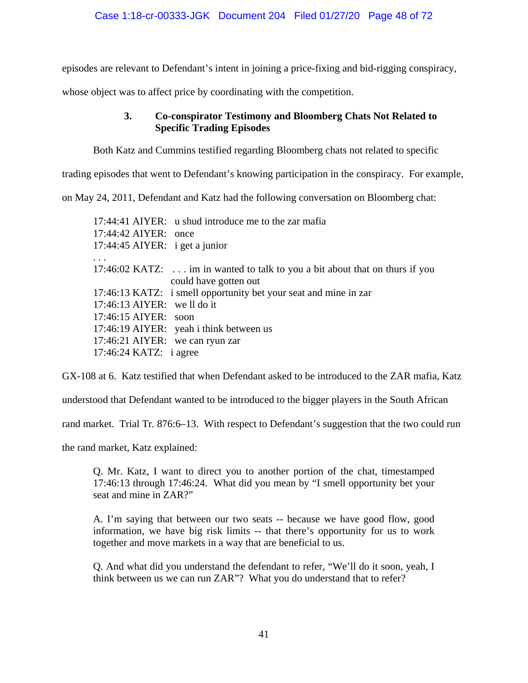episodes are relevant to Defendant's intent in joining a price-fixing and bid-rigging conspiracy,

whose object was to affect price by coordinating with the competition.

## **3. Co-conspirator Testimony and Bloomberg Chats Not Related to Specific Trading Episodes**

Both Katz and Cummins testified regarding Bloomberg chats not related to specific

trading episodes that went to Defendant's knowing participation in the conspiracy. For example,

on May 24, 2011, Defendant and Katz had the following conversation on Bloomberg chat:

17:44:41 AIYER: u shud introduce me to the zar mafia 17:44:42 AIYER: once 17:44:45 AIYER: i get a junior . . . 17:46:02 KATZ: . . . im in wanted to talk to you a bit about that on thurs if you could have gotten out 17:46:13 KATZ: i smell opportunity bet your seat and mine in zar 17:46:13 AIYER: we ll do it 17:46:15 AIYER: soon 17:46:19 AIYER: yeah i think between us 17:46:21 AIYER: we can ryun zar 17:46:24 KATZ: i agree

GX-108 at 6. Katz testified that when Defendant asked to be introduced to the ZAR mafia, Katz

understood that Defendant wanted to be introduced to the bigger players in the South African

rand market. Trial Tr. 876:6–13. With respect to Defendant's suggestion that the two could run

the rand market, Katz explained:

Q. Mr. Katz, I want to direct you to another portion of the chat, timestamped 17:46:13 through 17:46:24. What did you mean by "I smell opportunity bet your seat and mine in ZAR?"

A. I'm saying that between our two seats -- because we have good flow, good information, we have big risk limits -- that there's opportunity for us to work together and move markets in a way that are beneficial to us.

Q. And what did you understand the defendant to refer, "We'll do it soon, yeah, I think between us we can run ZAR"? What you do understand that to refer?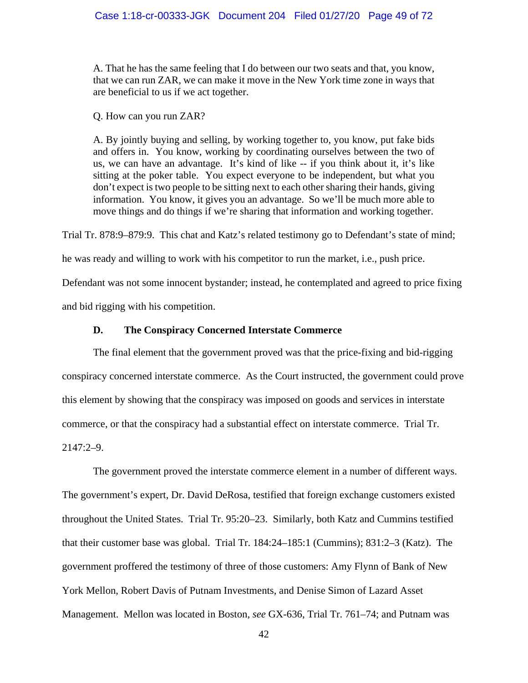A. That he has the same feeling that I do between our two seats and that, you know, that we can run ZAR, we can make it move in the New York time zone in ways that are beneficial to us if we act together.

Q. How can you run ZAR?

A. By jointly buying and selling, by working together to, you know, put fake bids and offers in. You know, working by coordinating ourselves between the two of us, we can have an advantage. It's kind of like -- if you think about it, it's like sitting at the poker table. You expect everyone to be independent, but what you don't expect is two people to be sitting next to each other sharing their hands, giving information. You know, it gives you an advantage. So we'll be much more able to move things and do things if we're sharing that information and working together.

Trial Tr. 878:9–879:9. This chat and Katz's related testimony go to Defendant's state of mind;

he was ready and willing to work with his competitor to run the market, i.e., push price.

Defendant was not some innocent bystander; instead, he contemplated and agreed to price fixing and bid rigging with his competition.

## **D. The Conspiracy Concerned Interstate Commerce**

 The final element that the government proved was that the price-fixing and bid-rigging conspiracy concerned interstate commerce. As the Court instructed, the government could prove this element by showing that the conspiracy was imposed on goods and services in interstate commerce, or that the conspiracy had a substantial effect on interstate commerce. Trial Tr.  $2147:2-9$ .

 The government proved the interstate commerce element in a number of different ways. The government's expert, Dr. David DeRosa, testified that foreign exchange customers existed throughout the United States. Trial Tr. 95:20–23. Similarly, both Katz and Cummins testified that their customer base was global. Trial Tr. 184:24–185:1 (Cummins); 831:2–3 (Katz). The government proffered the testimony of three of those customers: Amy Flynn of Bank of New York Mellon, Robert Davis of Putnam Investments, and Denise Simon of Lazard Asset Management. Mellon was located in Boston, *see* GX-636, Trial Tr. 761–74; and Putnam was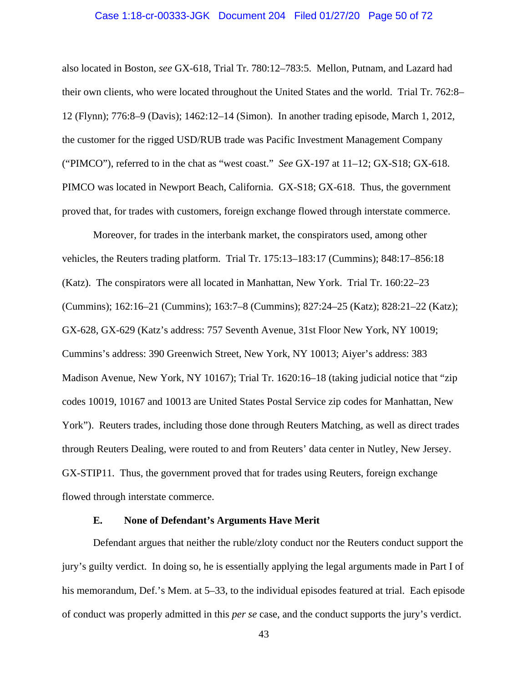#### Case 1:18-cr-00333-JGK Document 204 Filed 01/27/20 Page 50 of 72

also located in Boston, *see* GX-618, Trial Tr. 780:12–783:5. Mellon, Putnam, and Lazard had their own clients, who were located throughout the United States and the world. Trial Tr. 762:8– 12 (Flynn); 776:8–9 (Davis); 1462:12–14 (Simon). In another trading episode, March 1, 2012, the customer for the rigged USD/RUB trade was Pacific Investment Management Company ("PIMCO"), referred to in the chat as "west coast." *See* GX-197 at 11–12; GX-S18; GX-618. PIMCO was located in Newport Beach, California. GX-S18; GX-618. Thus, the government proved that, for trades with customers, foreign exchange flowed through interstate commerce.

 Moreover, for trades in the interbank market, the conspirators used, among other vehicles, the Reuters trading platform. Trial Tr. 175:13–183:17 (Cummins); 848:17–856:18 (Katz). The conspirators were all located in Manhattan, New York. Trial Tr. 160:22–23 (Cummins); 162:16–21 (Cummins); 163:7–8 (Cummins); 827:24–25 (Katz); 828:21–22 (Katz); GX-628, GX-629 (Katz's address: 757 Seventh Avenue, 31st Floor New York, NY 10019; Cummins's address: 390 Greenwich Street, New York, NY 10013; Aiyer's address: 383 Madison Avenue, New York, NY 10167); Trial Tr. 1620:16–18 (taking judicial notice that "zip codes 10019, 10167 and 10013 are United States Postal Service zip codes for Manhattan, New York"). Reuters trades, including those done through Reuters Matching, as well as direct trades through Reuters Dealing, were routed to and from Reuters' data center in Nutley, New Jersey. GX-STIP11. Thus, the government proved that for trades using Reuters, foreign exchange flowed through interstate commerce.

#### **E. None of Defendant's Arguments Have Merit**

Defendant argues that neither the ruble/zloty conduct nor the Reuters conduct support the jury's guilty verdict. In doing so, he is essentially applying the legal arguments made in Part I of his memorandum, Def.'s Mem. at 5–33, to the individual episodes featured at trial. Each episode of conduct was properly admitted in this *per se* case, and the conduct supports the jury's verdict.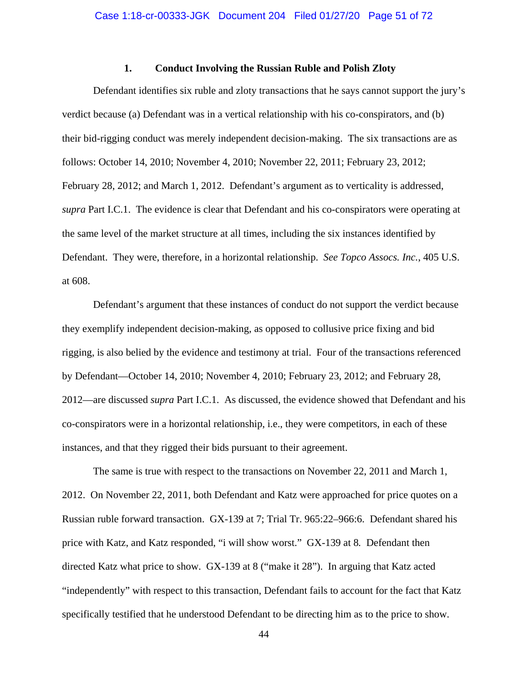### **1. Conduct Involving the Russian Ruble and Polish Zloty**

Defendant identifies six ruble and zloty transactions that he says cannot support the jury's verdict because (a) Defendant was in a vertical relationship with his co-conspirators, and (b) their bid-rigging conduct was merely independent decision-making. The six transactions are as follows: October 14, 2010; November 4, 2010; November 22, 2011; February 23, 2012; February 28, 2012; and March 1, 2012. Defendant's argument as to verticality is addressed, *supra* Part I.C.1. The evidence is clear that Defendant and his co-conspirators were operating at the same level of the market structure at all times, including the six instances identified by Defendant. They were, therefore, in a horizontal relationship. *See Topco Assocs. Inc.*, 405 U.S. at 608.

Defendant's argument that these instances of conduct do not support the verdict because they exemplify independent decision-making, as opposed to collusive price fixing and bid rigging, is also belied by the evidence and testimony at trial. Four of the transactions referenced by Defendant—October 14, 2010; November 4, 2010; February 23, 2012; and February 28, 2012—are discussed *supra* Part I.C.1. As discussed, the evidence showed that Defendant and his co-conspirators were in a horizontal relationship, i.e., they were competitors, in each of these instances, and that they rigged their bids pursuant to their agreement.

The same is true with respect to the transactions on November 22, 2011 and March 1, 2012. On November 22, 2011, both Defendant and Katz were approached for price quotes on a Russian ruble forward transaction. GX-139 at 7; Trial Tr. 965:22–966:6. Defendant shared his price with Katz, and Katz responded, "i will show worst." GX-139 at 8*.* Defendant then directed Katz what price to show. GX-139 at 8 ("make it 28"). In arguing that Katz acted "independently" with respect to this transaction, Defendant fails to account for the fact that Katz specifically testified that he understood Defendant to be directing him as to the price to show.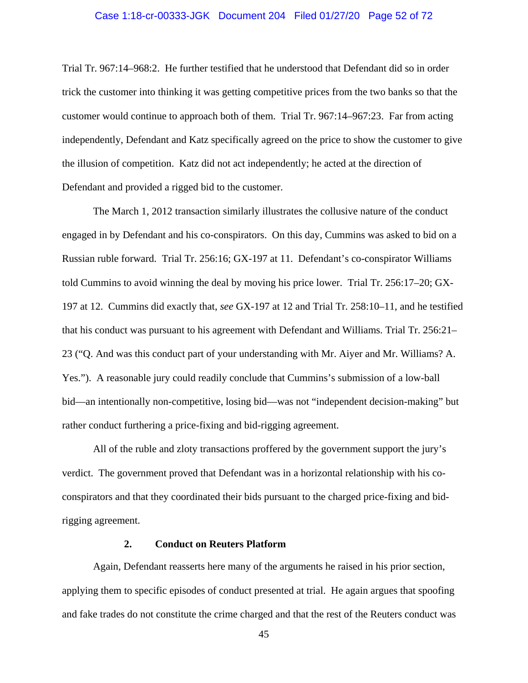#### Case 1:18-cr-00333-JGK Document 204 Filed 01/27/20 Page 52 of 72

Trial Tr. 967:14–968:2. He further testified that he understood that Defendant did so in order trick the customer into thinking it was getting competitive prices from the two banks so that the customer would continue to approach both of them. Trial Tr. 967:14–967:23. Far from acting independently, Defendant and Katz specifically agreed on the price to show the customer to give the illusion of competition. Katz did not act independently; he acted at the direction of Defendant and provided a rigged bid to the customer.

The March 1, 2012 transaction similarly illustrates the collusive nature of the conduct engaged in by Defendant and his co-conspirators. On this day, Cummins was asked to bid on a Russian ruble forward. Trial Tr. 256:16; GX-197 at 11. Defendant's co-conspirator Williams told Cummins to avoid winning the deal by moving his price lower. Trial Tr. 256:17–20; GX-197 at 12. Cummins did exactly that, *see* GX-197 at 12 and Trial Tr. 258:10–11, and he testified that his conduct was pursuant to his agreement with Defendant and Williams. Trial Tr. 256:21– 23 ("Q. And was this conduct part of your understanding with Mr. Aiyer and Mr. Williams? A. Yes."). A reasonable jury could readily conclude that Cummins's submission of a low-ball bid—an intentionally non-competitive, losing bid—was not "independent decision-making" but rather conduct furthering a price-fixing and bid-rigging agreement.

All of the ruble and zloty transactions proffered by the government support the jury's verdict. The government proved that Defendant was in a horizontal relationship with his coconspirators and that they coordinated their bids pursuant to the charged price-fixing and bidrigging agreement.

#### **2. Conduct on Reuters Platform**

Again, Defendant reasserts here many of the arguments he raised in his prior section, applying them to specific episodes of conduct presented at trial. He again argues that spoofing and fake trades do not constitute the crime charged and that the rest of the Reuters conduct was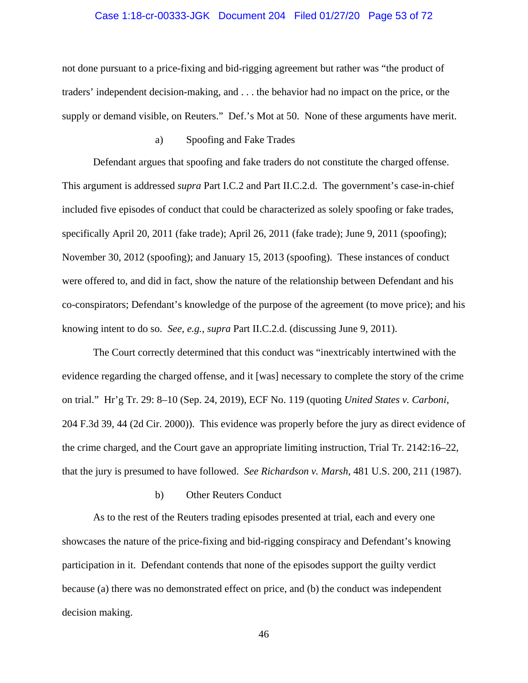#### Case 1:18-cr-00333-JGK Document 204 Filed 01/27/20 Page 53 of 72

not done pursuant to a price-fixing and bid-rigging agreement but rather was "the product of traders' independent decision-making, and . . . the behavior had no impact on the price, or the supply or demand visible, on Reuters." Def.'s Mot at 50. None of these arguments have merit.

## a) Spoofing and Fake Trades

Defendant argues that spoofing and fake traders do not constitute the charged offense. This argument is addressed *supra* Part I.C.2 and Part II.C.2.d. The government's case-in-chief included five episodes of conduct that could be characterized as solely spoofing or fake trades, specifically April 20, 2011 (fake trade); April 26, 2011 (fake trade); June 9, 2011 (spoofing); November 30, 2012 (spoofing); and January 15, 2013 (spoofing). These instances of conduct were offered to, and did in fact, show the nature of the relationship between Defendant and his co-conspirators; Defendant's knowledge of the purpose of the agreement (to move price); and his knowing intent to do so. *See, e.g.*, *supra* Part II.C.2.d. (discussing June 9, 2011).

The Court correctly determined that this conduct was "inextricably intertwined with the evidence regarding the charged offense, and it [was] necessary to complete the story of the crime on trial." Hr'g Tr. 29: 8–10 (Sep. 24, 2019), ECF No. 119 (quoting *United States v. Carboni*, 204 F.3d 39, 44 (2d Cir. 2000)). This evidence was properly before the jury as direct evidence of the crime charged, and the Court gave an appropriate limiting instruction, Trial Tr. 2142:16–22, that the jury is presumed to have followed. *See Richardson v. Marsh*, 481 U.S. 200, 211 (1987).

#### b) Other Reuters Conduct

As to the rest of the Reuters trading episodes presented at trial, each and every one showcases the nature of the price-fixing and bid-rigging conspiracy and Defendant's knowing participation in it. Defendant contends that none of the episodes support the guilty verdict because (a) there was no demonstrated effect on price, and (b) the conduct was independent decision making.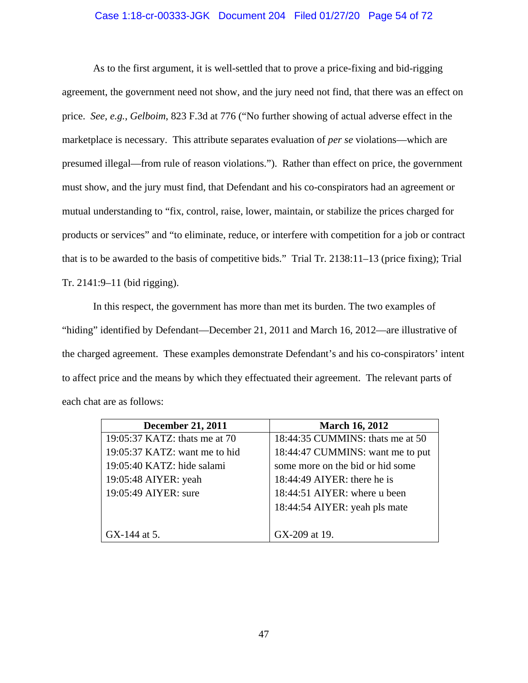### Case 1:18-cr-00333-JGK Document 204 Filed 01/27/20 Page 54 of 72

As to the first argument, it is well-settled that to prove a price-fixing and bid-rigging agreement, the government need not show, and the jury need not find, that there was an effect on price. *See, e.g.*, *Gelboim*, 823 F.3d at 776 ("No further showing of actual adverse effect in the marketplace is necessary. This attribute separates evaluation of *per se* violations—which are presumed illegal—from rule of reason violations."). Rather than effect on price, the government must show, and the jury must find, that Defendant and his co-conspirators had an agreement or mutual understanding to "fix, control, raise, lower, maintain, or stabilize the prices charged for products or services" and "to eliminate, reduce, or interfere with competition for a job or contract that is to be awarded to the basis of competitive bids." Trial Tr. 2138:11–13 (price fixing); Trial Tr. 2141:9–11 (bid rigging).

In this respect, the government has more than met its burden. The two examples of "hiding" identified by Defendant—December 21, 2011 and March 16, 2012—are illustrative of the charged agreement. These examples demonstrate Defendant's and his co-conspirators' intent to affect price and the means by which they effectuated their agreement. The relevant parts of each chat are as follows:

| <b>December 21, 2011</b>      | <b>March 16, 2012</b>            |
|-------------------------------|----------------------------------|
| 19:05:37 KATZ: thats me at 70 | 18:44:35 CUMMINS: thats me at 50 |
| 19:05:37 KATZ: want me to hid | 18:44:47 CUMMINS: want me to put |
| 19:05:40 KATZ: hide salami    | some more on the bid or hid some |
| 19:05:48 AIYER: yeah          | 18:44:49 AIYER: there he is      |
| 19:05:49 AIYER: sure          | 18:44:51 AIYER: where u been     |
|                               | 18:44:54 AIYER: yeah pls mate    |
|                               |                                  |
| GX-144 at 5.                  | GX-209 at 19.                    |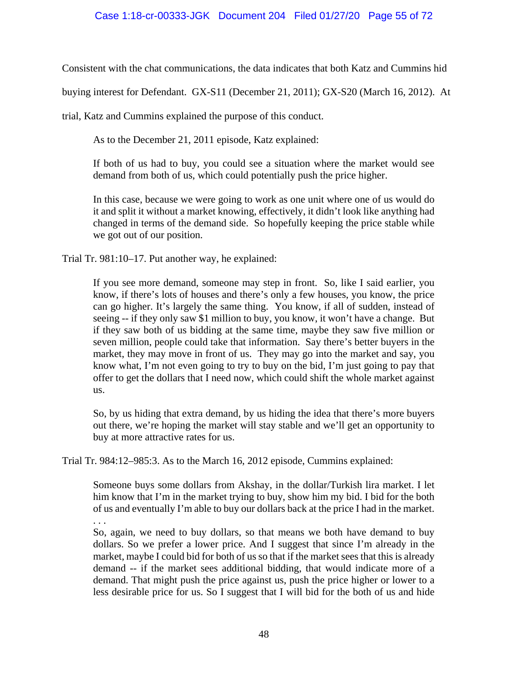Consistent with the chat communications, the data indicates that both Katz and Cummins hid

buying interest for Defendant. GX-S11 (December 21, 2011); GX-S20 (March 16, 2012). At

trial, Katz and Cummins explained the purpose of this conduct.

As to the December 21, 2011 episode, Katz explained:

If both of us had to buy, you could see a situation where the market would see demand from both of us, which could potentially push the price higher.

In this case, because we were going to work as one unit where one of us would do it and split it without a market knowing, effectively, it didn't look like anything had changed in terms of the demand side. So hopefully keeping the price stable while we got out of our position.

Trial Tr. 981:10–17. Put another way, he explained:

If you see more demand, someone may step in front. So, like I said earlier, you know, if there's lots of houses and there's only a few houses, you know, the price can go higher. It's largely the same thing. You know, if all of sudden, instead of seeing -- if they only saw \$1 million to buy, you know, it won't have a change. But if they saw both of us bidding at the same time, maybe they saw five million or seven million, people could take that information. Say there's better buyers in the market, they may move in front of us. They may go into the market and say, you know what, I'm not even going to try to buy on the bid, I'm just going to pay that offer to get the dollars that I need now, which could shift the whole market against us.

So, by us hiding that extra demand, by us hiding the idea that there's more buyers out there, we're hoping the market will stay stable and we'll get an opportunity to buy at more attractive rates for us.

Trial Tr. 984:12–985:3. As to the March 16, 2012 episode, Cummins explained:

Someone buys some dollars from Akshay, in the dollar/Turkish lira market. I let him know that I'm in the market trying to buy, show him my bid. I bid for the both of us and eventually I'm able to buy our dollars back at the price I had in the market. . . .

So, again, we need to buy dollars, so that means we both have demand to buy dollars. So we prefer a lower price. And I suggest that since I'm already in the market, maybe I could bid for both of us so that if the market sees that this is already demand -- if the market sees additional bidding, that would indicate more of a demand. That might push the price against us, push the price higher or lower to a less desirable price for us. So I suggest that I will bid for the both of us and hide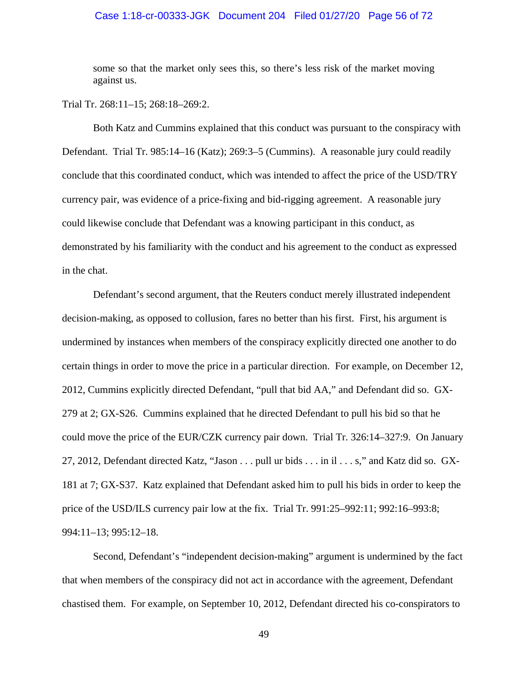#### Case 1:18-cr-00333-JGK Document 204 Filed 01/27/20 Page 56 of 72

some so that the market only sees this, so there's less risk of the market moving against us.

Trial Tr. 268:11–15; 268:18–269:2.

Both Katz and Cummins explained that this conduct was pursuant to the conspiracy with Defendant. Trial Tr. 985:14–16 (Katz); 269:3–5 (Cummins). A reasonable jury could readily conclude that this coordinated conduct, which was intended to affect the price of the USD/TRY currency pair, was evidence of a price-fixing and bid-rigging agreement. A reasonable jury could likewise conclude that Defendant was a knowing participant in this conduct, as demonstrated by his familiarity with the conduct and his agreement to the conduct as expressed in the chat.

Defendant's second argument, that the Reuters conduct merely illustrated independent decision-making, as opposed to collusion, fares no better than his first. First, his argument is undermined by instances when members of the conspiracy explicitly directed one another to do certain things in order to move the price in a particular direction. For example, on December 12, 2012, Cummins explicitly directed Defendant, "pull that bid AA," and Defendant did so. GX-279 at 2; GX-S26. Cummins explained that he directed Defendant to pull his bid so that he could move the price of the EUR/CZK currency pair down. Trial Tr. 326:14–327:9. On January 27, 2012, Defendant directed Katz, "Jason . . . pull ur bids . . . in il . . . s," and Katz did so. GX-181 at 7; GX-S37. Katz explained that Defendant asked him to pull his bids in order to keep the price of the USD/ILS currency pair low at the fix. Trial Tr. 991:25–992:11; 992:16–993:8; 994:11–13; 995:12–18.

Second, Defendant's "independent decision-making" argument is undermined by the fact that when members of the conspiracy did not act in accordance with the agreement, Defendant chastised them. For example, on September 10, 2012, Defendant directed his co-conspirators to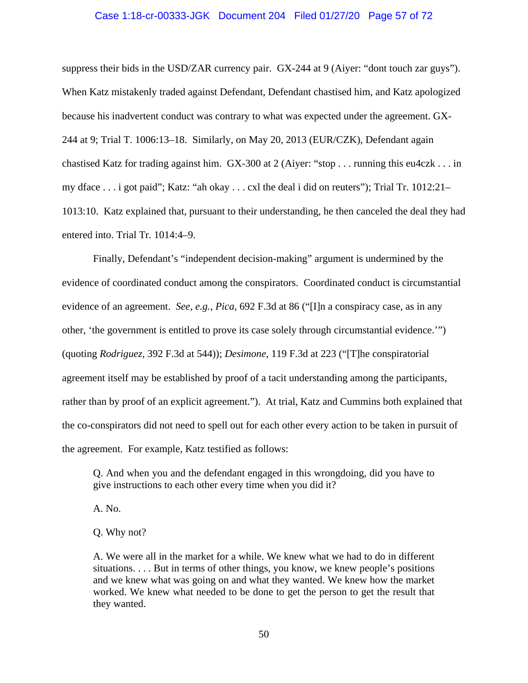#### Case 1:18-cr-00333-JGK Document 204 Filed 01/27/20 Page 57 of 72

suppress their bids in the USD/ZAR currency pair. GX-244 at 9 (Aiyer: "dont touch zar guys"). When Katz mistakenly traded against Defendant, Defendant chastised him, and Katz apologized because his inadvertent conduct was contrary to what was expected under the agreement. GX-244 at 9; Trial T. 1006:13–18. Similarly, on May 20, 2013 (EUR/CZK), Defendant again chastised Katz for trading against him. GX-300 at 2 (Aiyer: "stop . . . running this eu4czk . . . in my dface . . . i got paid"; Katz: "ah okay . . . cxl the deal i did on reuters"); Trial Tr. 1012:21– 1013:10. Katz explained that, pursuant to their understanding, he then canceled the deal they had entered into. Trial Tr. 1014:4–9.

Finally, Defendant's "independent decision-making" argument is undermined by the evidence of coordinated conduct among the conspirators. Coordinated conduct is circumstantial evidence of an agreement. *See, e.g.*, *Pica*, 692 F.3d at 86 ("[I]n a conspiracy case, as in any other, 'the government is entitled to prove its case solely through circumstantial evidence.'") (quoting *Rodriguez*, 392 F.3d at 544)); *Desimone*, 119 F.3d at 223 ("[T]he conspiratorial agreement itself may be established by proof of a tacit understanding among the participants, rather than by proof of an explicit agreement."). At trial, Katz and Cummins both explained that the co-conspirators did not need to spell out for each other every action to be taken in pursuit of the agreement. For example, Katz testified as follows:

Q. And when you and the defendant engaged in this wrongdoing, did you have to give instructions to each other every time when you did it?

A. No.

Q. Why not?

A. We were all in the market for a while. We knew what we had to do in different situations. . . . But in terms of other things, you know, we knew people's positions and we knew what was going on and what they wanted. We knew how the market worked. We knew what needed to be done to get the person to get the result that they wanted.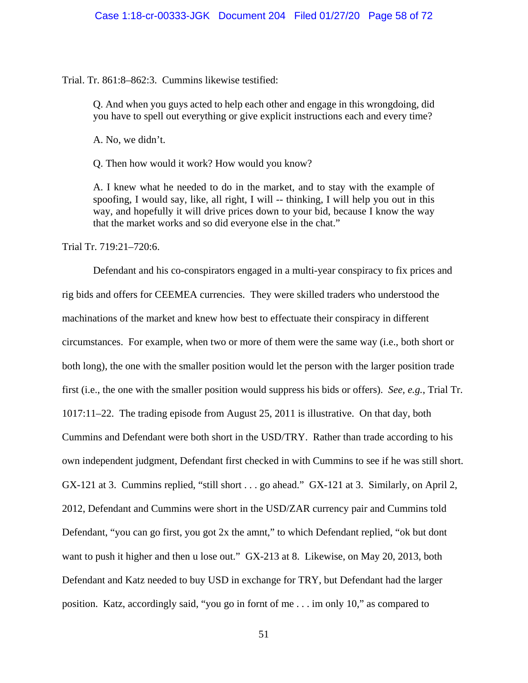#### Trial. Tr. 861:8–862:3. Cummins likewise testified:

Q. And when you guys acted to help each other and engage in this wrongdoing, did you have to spell out everything or give explicit instructions each and every time?

A. No, we didn't.

Q. Then how would it work? How would you know?

A. I knew what he needed to do in the market, and to stay with the example of spoofing, I would say, like, all right, I will -- thinking, I will help you out in this way, and hopefully it will drive prices down to your bid, because I know the way that the market works and so did everyone else in the chat."

Trial Tr. 719:21–720:6.

Defendant and his co-conspirators engaged in a multi-year conspiracy to fix prices and rig bids and offers for CEEMEA currencies. They were skilled traders who understood the machinations of the market and knew how best to effectuate their conspiracy in different circumstances. For example, when two or more of them were the same way (i.e., both short or both long), the one with the smaller position would let the person with the larger position trade first (i.e., the one with the smaller position would suppress his bids or offers). *See, e.g.*, Trial Tr. 1017:11–22. The trading episode from August 25, 2011 is illustrative. On that day, both Cummins and Defendant were both short in the USD/TRY. Rather than trade according to his own independent judgment, Defendant first checked in with Cummins to see if he was still short. GX-121 at 3. Cummins replied, "still short . . . go ahead." GX-121 at 3. Similarly, on April 2, 2012, Defendant and Cummins were short in the USD/ZAR currency pair and Cummins told Defendant, "you can go first, you got 2x the amnt," to which Defendant replied, "ok but dont want to push it higher and then u lose out." GX-213 at 8. Likewise, on May 20, 2013, both Defendant and Katz needed to buy USD in exchange for TRY, but Defendant had the larger position. Katz, accordingly said, "you go in fornt of me . . . im only 10," as compared to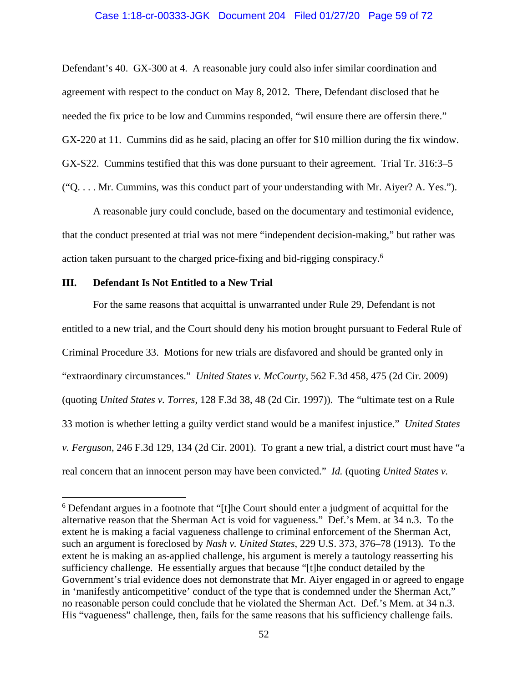#### Case 1:18-cr-00333-JGK Document 204 Filed 01/27/20 Page 59 of 72

Defendant's 40. GX-300 at 4. A reasonable jury could also infer similar coordination and agreement with respect to the conduct on May 8, 2012. There, Defendant disclosed that he needed the fix price to be low and Cummins responded, "wil ensure there are offersin there." GX-220 at 11. Cummins did as he said, placing an offer for \$10 million during the fix window. GX-S22. Cummins testified that this was done pursuant to their agreement. Trial Tr. 316:3–5 ("Q. . . . Mr. Cummins, was this conduct part of your understanding with Mr. Aiyer? A. Yes.").

A reasonable jury could conclude, based on the documentary and testimonial evidence, that the conduct presented at trial was not mere "independent decision-making," but rather was action taken pursuant to the charged price-fixing and bid-rigging conspiracy.<sup>6</sup>

## **III. Defendant Is Not Entitled to a New Trial**

 $\overline{a}$ 

For the same reasons that acquittal is unwarranted under Rule 29, Defendant is not entitled to a new trial, and the Court should deny his motion brought pursuant to Federal Rule of Criminal Procedure 33. Motions for new trials are disfavored and should be granted only in "extraordinary circumstances." *United States v. McCourty*, 562 F.3d 458, 475 (2d Cir. 2009) (quoting *United States v. Torres*, 128 F.3d 38, 48 (2d Cir. 1997)). The "ultimate test on a Rule 33 motion is whether letting a guilty verdict stand would be a manifest injustice." *United States v. Ferguson*, 246 F.3d 129, 134 (2d Cir. 2001). To grant a new trial, a district court must have "a real concern that an innocent person may have been convicted." *Id.* (quoting *United States v.* 

<sup>&</sup>lt;sup>6</sup> Defendant argues in a footnote that "[t]he Court should enter a judgment of acquittal for the alternative reason that the Sherman Act is void for vagueness." Def.'s Mem. at 34 n.3. To the extent he is making a facial vagueness challenge to criminal enforcement of the Sherman Act, such an argument is foreclosed by *Nash v. United States*, 229 U.S. 373, 376–78 (1913). To the extent he is making an as-applied challenge, his argument is merely a tautology reasserting his sufficiency challenge. He essentially argues that because "[t]he conduct detailed by the Government's trial evidence does not demonstrate that Mr. Aiver engaged in or agreed to engage in 'manifestly anticompetitive' conduct of the type that is condemned under the Sherman Act," no reasonable person could conclude that he violated the Sherman Act. Def.'s Mem. at 34 n.3. His "vagueness" challenge, then, fails for the same reasons that his sufficiency challenge fails.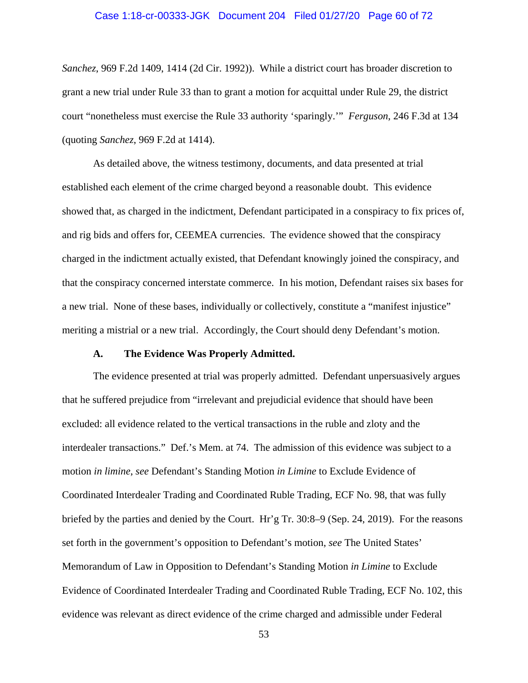#### Case 1:18-cr-00333-JGK Document 204 Filed 01/27/20 Page 60 of 72

*Sanchez*, 969 F.2d 1409, 1414 (2d Cir. 1992)). While a district court has broader discretion to grant a new trial under Rule 33 than to grant a motion for acquittal under Rule 29, the district court "nonetheless must exercise the Rule 33 authority 'sparingly.'" *Ferguson*, 246 F.3d at 134 (quoting *Sanchez*, 969 F.2d at 1414).

As detailed above, the witness testimony, documents, and data presented at trial established each element of the crime charged beyond a reasonable doubt. This evidence showed that, as charged in the indictment, Defendant participated in a conspiracy to fix prices of, and rig bids and offers for, CEEMEA currencies. The evidence showed that the conspiracy charged in the indictment actually existed, that Defendant knowingly joined the conspiracy, and that the conspiracy concerned interstate commerce. In his motion, Defendant raises six bases for a new trial. None of these bases, individually or collectively, constitute a "manifest injustice" meriting a mistrial or a new trial. Accordingly, the Court should deny Defendant's motion.

#### **A. The Evidence Was Properly Admitted.**

The evidence presented at trial was properly admitted. Defendant unpersuasively argues that he suffered prejudice from "irrelevant and prejudicial evidence that should have been excluded: all evidence related to the vertical transactions in the ruble and zloty and the interdealer transactions." Def.'s Mem. at 74. The admission of this evidence was subject to a motion *in limine*, *see* Defendant's Standing Motion *in Limine* to Exclude Evidence of Coordinated Interdealer Trading and Coordinated Ruble Trading, ECF No. 98, that was fully briefed by the parties and denied by the Court. Hr'g Tr. 30:8–9 (Sep. 24, 2019). For the reasons set forth in the government's opposition to Defendant's motion, *see* The United States' Memorandum of Law in Opposition to Defendant's Standing Motion *in Limine* to Exclude Evidence of Coordinated Interdealer Trading and Coordinated Ruble Trading, ECF No. 102, this evidence was relevant as direct evidence of the crime charged and admissible under Federal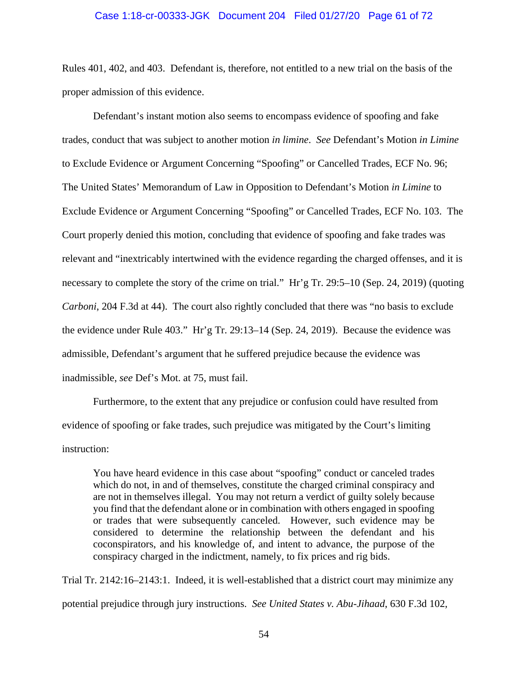#### Case 1:18-cr-00333-JGK Document 204 Filed 01/27/20 Page 61 of 72

Rules 401, 402, and 403. Defendant is, therefore, not entitled to a new trial on the basis of the proper admission of this evidence.

Defendant's instant motion also seems to encompass evidence of spoofing and fake trades, conduct that was subject to another motion *in limine*. *See* Defendant's Motion *in Limine* to Exclude Evidence or Argument Concerning "Spoofing" or Cancelled Trades, ECF No. 96; The United States' Memorandum of Law in Opposition to Defendant's Motion *in Limine* to Exclude Evidence or Argument Concerning "Spoofing" or Cancelled Trades, ECF No. 103. The Court properly denied this motion, concluding that evidence of spoofing and fake trades was relevant and "inextricably intertwined with the evidence regarding the charged offenses, and it is necessary to complete the story of the crime on trial." Hr'g Tr. 29:5–10 (Sep. 24, 2019) (quoting *Carboni*, 204 F.3d at 44). The court also rightly concluded that there was "no basis to exclude the evidence under Rule 403." Hr'g Tr. 29:13–14 (Sep. 24, 2019). Because the evidence was admissible, Defendant's argument that he suffered prejudice because the evidence was inadmissible, *see* Def's Mot. at 75, must fail.

Furthermore, to the extent that any prejudice or confusion could have resulted from evidence of spoofing or fake trades, such prejudice was mitigated by the Court's limiting instruction:

You have heard evidence in this case about "spoofing" conduct or canceled trades which do not, in and of themselves, constitute the charged criminal conspiracy and are not in themselves illegal. You may not return a verdict of guilty solely because you find that the defendant alone or in combination with others engaged in spoofing or trades that were subsequently canceled. However, such evidence may be considered to determine the relationship between the defendant and his coconspirators, and his knowledge of, and intent to advance, the purpose of the conspiracy charged in the indictment, namely, to fix prices and rig bids.

Trial Tr. 2142:16–2143:1. Indeed, it is well-established that a district court may minimize any potential prejudice through jury instructions. *See United States v. Abu-Jihaad*, 630 F.3d 102,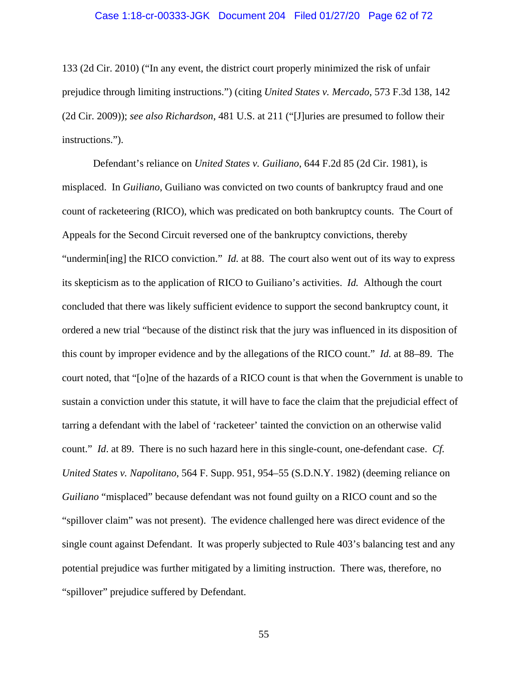#### Case 1:18-cr-00333-JGK Document 204 Filed 01/27/20 Page 62 of 72

133 (2d Cir. 2010) ("In any event, the district court properly minimized the risk of unfair prejudice through limiting instructions.") (citing *United States v. Mercado*, 573 F.3d 138, 142 (2d Cir. 2009)); *see also Richardson*, 481 U.S. at 211 ("[J]uries are presumed to follow their instructions.").

Defendant's reliance on *United States v. Guiliano*, 644 F.2d 85 (2d Cir. 1981), is misplaced. In *Guiliano*, Guiliano was convicted on two counts of bankruptcy fraud and one count of racketeering (RICO), which was predicated on both bankruptcy counts. The Court of Appeals for the Second Circuit reversed one of the bankruptcy convictions, thereby "undermin[ing] the RICO conviction." *Id.* at 88. The court also went out of its way to express its skepticism as to the application of RICO to Guiliano's activities. *Id.* Although the court concluded that there was likely sufficient evidence to support the second bankruptcy count, it ordered a new trial "because of the distinct risk that the jury was influenced in its disposition of this count by improper evidence and by the allegations of the RICO count." *Id.* at 88–89. The court noted, that "[o]ne of the hazards of a RICO count is that when the Government is unable to sustain a conviction under this statute, it will have to face the claim that the prejudicial effect of tarring a defendant with the label of 'racketeer' tainted the conviction on an otherwise valid count." *Id*. at 89. There is no such hazard here in this single-count, one-defendant case. *Cf. United States v. Napolitano*, 564 F. Supp. 951, 954–55 (S.D.N.Y. 1982) (deeming reliance on *Guiliano* "misplaced" because defendant was not found guilty on a RICO count and so the "spillover claim" was not present). The evidence challenged here was direct evidence of the single count against Defendant. It was properly subjected to Rule 403's balancing test and any potential prejudice was further mitigated by a limiting instruction. There was, therefore, no "spillover" prejudice suffered by Defendant.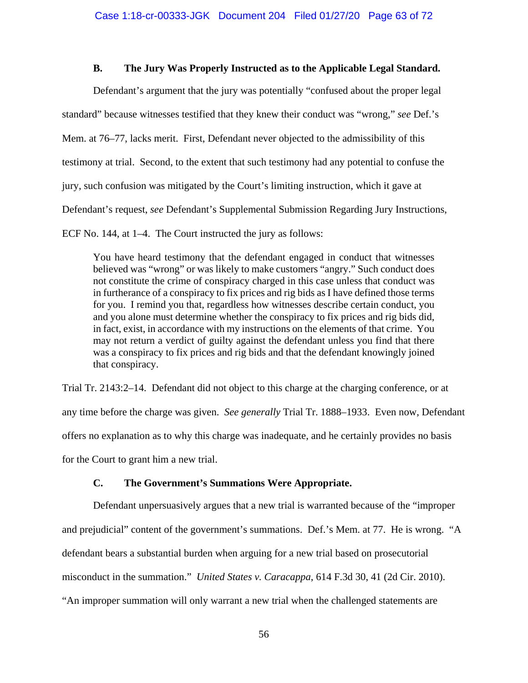## **B. The Jury Was Properly Instructed as to the Applicable Legal Standard.**

Defendant's argument that the jury was potentially "confused about the proper legal standard" because witnesses testified that they knew their conduct was "wrong," *see* Def.'s Mem. at 76–77, lacks merit. First, Defendant never objected to the admissibility of this testimony at trial. Second, to the extent that such testimony had any potential to confuse the jury, such confusion was mitigated by the Court's limiting instruction, which it gave at Defendant's request, *see* Defendant's Supplemental Submission Regarding Jury Instructions, ECF No. 144, at 1–4. The Court instructed the jury as follows:

You have heard testimony that the defendant engaged in conduct that witnesses believed was "wrong" or was likely to make customers "angry." Such conduct does not constitute the crime of conspiracy charged in this case unless that conduct was in furtherance of a conspiracy to fix prices and rig bids as I have defined those terms for you. I remind you that, regardless how witnesses describe certain conduct, you and you alone must determine whether the conspiracy to fix prices and rig bids did, in fact, exist, in accordance with my instructions on the elements of that crime. You may not return a verdict of guilty against the defendant unless you find that there was a conspiracy to fix prices and rig bids and that the defendant knowingly joined that conspiracy.

Trial Tr. 2143:2–14. Defendant did not object to this charge at the charging conference, or at any time before the charge was given. *See generally* Trial Tr. 1888–1933. Even now, Defendant offers no explanation as to why this charge was inadequate, and he certainly provides no basis for the Court to grant him a new trial.

# **C. The Government's Summations Were Appropriate.**

Defendant unpersuasively argues that a new trial is warranted because of the "improper and prejudicial" content of the government's summations. Def.'s Mem. at 77. He is wrong. "A defendant bears a substantial burden when arguing for a new trial based on prosecutorial misconduct in the summation." *United States v. Caracappa*, 614 F.3d 30, 41 (2d Cir. 2010). "An improper summation will only warrant a new trial when the challenged statements are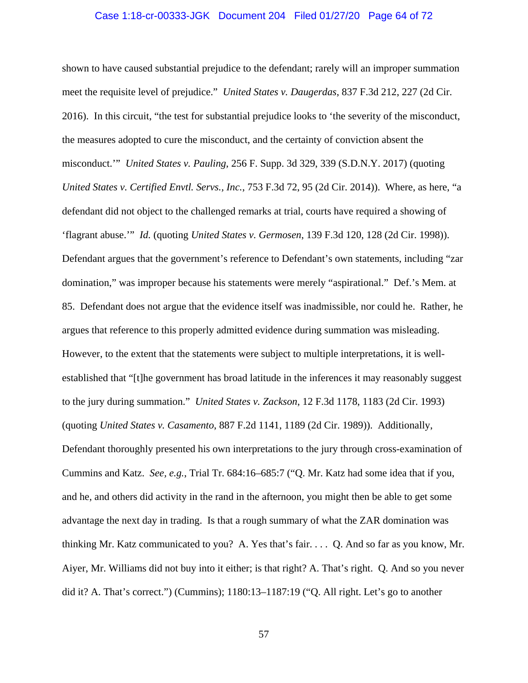#### Case 1:18-cr-00333-JGK Document 204 Filed 01/27/20 Page 64 of 72

shown to have caused substantial prejudice to the defendant; rarely will an improper summation meet the requisite level of prejudice." *United States v. Daugerdas*, 837 F.3d 212, 227 (2d Cir. 2016). In this circuit, "the test for substantial prejudice looks to 'the severity of the misconduct, the measures adopted to cure the misconduct, and the certainty of conviction absent the misconduct.'" *United States v. Pauling*, 256 F. Supp. 3d 329, 339 (S.D.N.Y. 2017) (quoting *United States v. Certified Envtl. Servs., Inc.*, 753 F.3d 72, 95 (2d Cir. 2014)). Where, as here, "a defendant did not object to the challenged remarks at trial, courts have required a showing of 'flagrant abuse.'" *Id.* (quoting *United States v. Germosen*, 139 F.3d 120, 128 (2d Cir. 1998)). Defendant argues that the government's reference to Defendant's own statements, including "zar domination," was improper because his statements were merely "aspirational." Def.'s Mem. at 85. Defendant does not argue that the evidence itself was inadmissible, nor could he. Rather, he argues that reference to this properly admitted evidence during summation was misleading. However, to the extent that the statements were subject to multiple interpretations, it is wellestablished that "[t]he government has broad latitude in the inferences it may reasonably suggest to the jury during summation." *United States v. Zackson*, 12 F.3d 1178, 1183 (2d Cir. 1993) (quoting *United States v. Casamento*, 887 F.2d 1141, 1189 (2d Cir. 1989)). Additionally, Defendant thoroughly presented his own interpretations to the jury through cross-examination of Cummins and Katz. *See, e.g.*, Trial Tr. 684:16–685:7 ("Q. Mr. Katz had some idea that if you, and he, and others did activity in the rand in the afternoon, you might then be able to get some advantage the next day in trading. Is that a rough summary of what the ZAR domination was thinking Mr. Katz communicated to you? A. Yes that's fair. . . . Q. And so far as you know, Mr. Aiyer, Mr. Williams did not buy into it either; is that right? A. That's right. Q. And so you never did it? A. That's correct.") (Cummins); 1180:13–1187:19 ("Q. All right. Let's go to another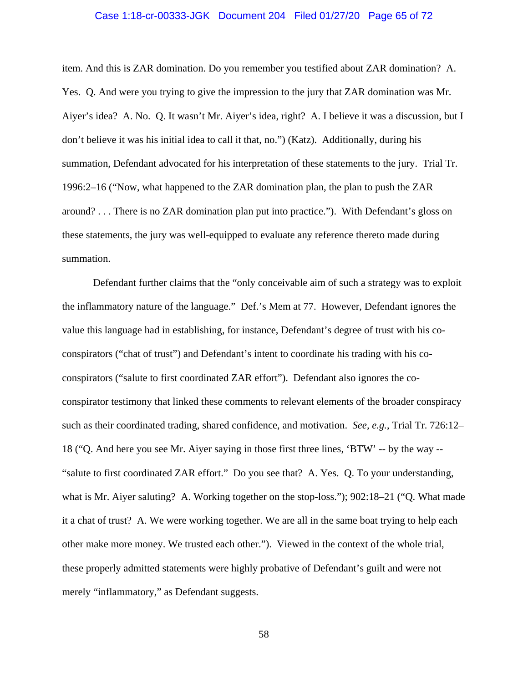#### Case 1:18-cr-00333-JGK Document 204 Filed 01/27/20 Page 65 of 72

item. And this is ZAR domination. Do you remember you testified about ZAR domination? A. Yes. Q. And were you trying to give the impression to the jury that ZAR domination was Mr. Aiyer's idea? A. No. Q. It wasn't Mr. Aiyer's idea, right? A. I believe it was a discussion, but I don't believe it was his initial idea to call it that, no.") (Katz). Additionally, during his summation, Defendant advocated for his interpretation of these statements to the jury. Trial Tr. 1996:2–16 ("Now, what happened to the ZAR domination plan, the plan to push the ZAR around? . . . There is no ZAR domination plan put into practice."). With Defendant's gloss on these statements, the jury was well-equipped to evaluate any reference thereto made during summation.

 Defendant further claims that the "only conceivable aim of such a strategy was to exploit the inflammatory nature of the language." Def.'s Mem at 77. However, Defendant ignores the value this language had in establishing, for instance, Defendant's degree of trust with his coconspirators ("chat of trust") and Defendant's intent to coordinate his trading with his coconspirators ("salute to first coordinated ZAR effort"). Defendant also ignores the coconspirator testimony that linked these comments to relevant elements of the broader conspiracy such as their coordinated trading, shared confidence, and motivation. *See, e.g.*, Trial Tr. 726:12– 18 ("Q. And here you see Mr. Aiyer saying in those first three lines, 'BTW' -- by the way -- "salute to first coordinated ZAR effort." Do you see that? A. Yes. Q. To your understanding, what is Mr. Aiyer saluting? A. Working together on the stop-loss."); 902:18–21 ("Q. What made it a chat of trust? A. We were working together. We are all in the same boat trying to help each other make more money. We trusted each other."). Viewed in the context of the whole trial, these properly admitted statements were highly probative of Defendant's guilt and were not merely "inflammatory," as Defendant suggests.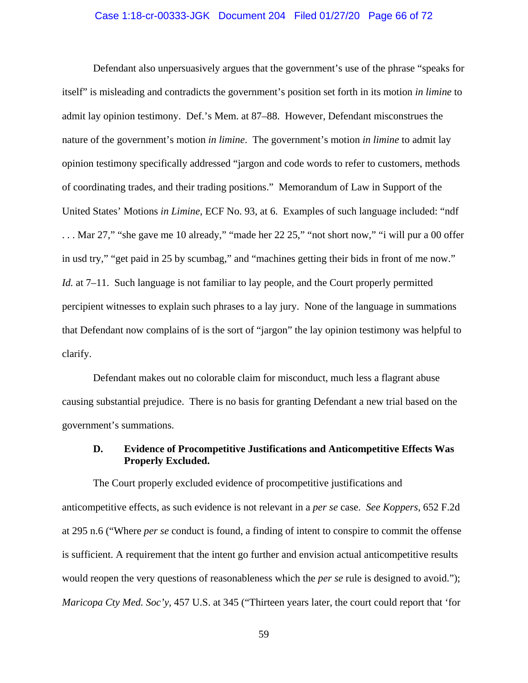#### Case 1:18-cr-00333-JGK Document 204 Filed 01/27/20 Page 66 of 72

 Defendant also unpersuasively argues that the government's use of the phrase "speaks for itself" is misleading and contradicts the government's position set forth in its motion *in limine* to admit lay opinion testimony. Def.'s Mem. at 87–88. However, Defendant misconstrues the nature of the government's motion *in limine*. The government's motion *in limine* to admit lay opinion testimony specifically addressed "jargon and code words to refer to customers, methods of coordinating trades, and their trading positions." Memorandum of Law in Support of the United States' Motions *in Limine*, ECF No. 93, at 6. Examples of such language included: "ndf . . . Mar 27," "she gave me 10 already," "made her 22 25," "not short now," "i will pur a 00 offer in usd try," "get paid in 25 by scumbag," and "machines getting their bids in front of me now." *Id.* at 7–11. Such language is not familiar to lay people, and the Court properly permitted percipient witnesses to explain such phrases to a lay jury. None of the language in summations that Defendant now complains of is the sort of "jargon" the lay opinion testimony was helpful to clarify.

 Defendant makes out no colorable claim for misconduct, much less a flagrant abuse causing substantial prejudice. There is no basis for granting Defendant a new trial based on the government's summations.

## **D. Evidence of Procompetitive Justifications and Anticompetitive Effects Was Properly Excluded.**

The Court properly excluded evidence of procompetitive justifications and anticompetitive effects, as such evidence is not relevant in a *per se* case. *See Koppers*, 652 F.2d at 295 n.6 ("Where *per se* conduct is found, a finding of intent to conspire to commit the offense is sufficient. A requirement that the intent go further and envision actual anticompetitive results would reopen the very questions of reasonableness which the *per se* rule is designed to avoid."); *Maricopa Cty Med. Soc'y,* 457 U.S. at 345 ("Thirteen years later, the court could report that 'for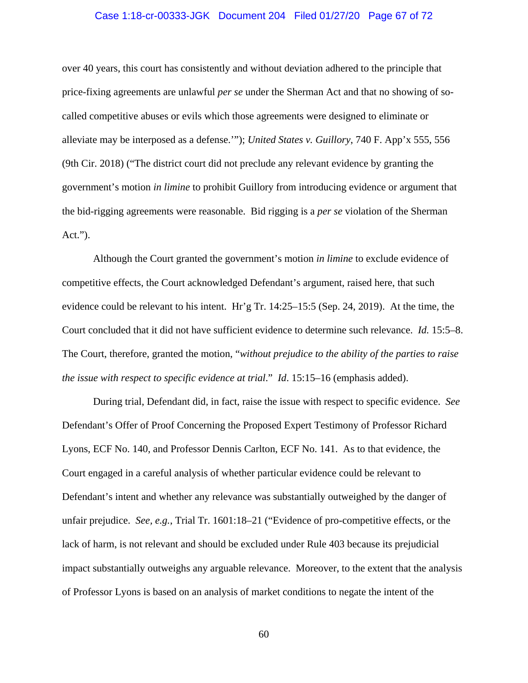#### Case 1:18-cr-00333-JGK Document 204 Filed 01/27/20 Page 67 of 72

over 40 years, this court has consistently and without deviation adhered to the principle that price-fixing agreements are unlawful *per se* under the Sherman Act and that no showing of socalled competitive abuses or evils which those agreements were designed to eliminate or alleviate may be interposed as a defense.'"); *United States v. Guillory*, 740 F. App'x 555, 556 (9th Cir. 2018) ("The district court did not preclude any relevant evidence by granting the government's motion *in limine* to prohibit Guillory from introducing evidence or argument that the bid-rigging agreements were reasonable. Bid rigging is a *per se* violation of the Sherman Act.").

Although the Court granted the government's motion *in limine* to exclude evidence of competitive effects, the Court acknowledged Defendant's argument, raised here, that such evidence could be relevant to his intent. Hr'g Tr. 14:25–15:5 (Sep. 24, 2019). At the time, the Court concluded that it did not have sufficient evidence to determine such relevance. *Id.* 15:5–8. The Court, therefore, granted the motion, "*without prejudice to the ability of the parties to raise the issue with respect to specific evidence at trial*." *Id*. 15:15–16 (emphasis added).

During trial, Defendant did, in fact, raise the issue with respect to specific evidence. *See* Defendant's Offer of Proof Concerning the Proposed Expert Testimony of Professor Richard Lyons, ECF No. 140, and Professor Dennis Carlton, ECF No. 141. As to that evidence, the Court engaged in a careful analysis of whether particular evidence could be relevant to Defendant's intent and whether any relevance was substantially outweighed by the danger of unfair prejudice. *See, e.g.*, Trial Tr. 1601:18–21 ("Evidence of pro-competitive effects, or the lack of harm, is not relevant and should be excluded under Rule 403 because its prejudicial impact substantially outweighs any arguable relevance. Moreover, to the extent that the analysis of Professor Lyons is based on an analysis of market conditions to negate the intent of the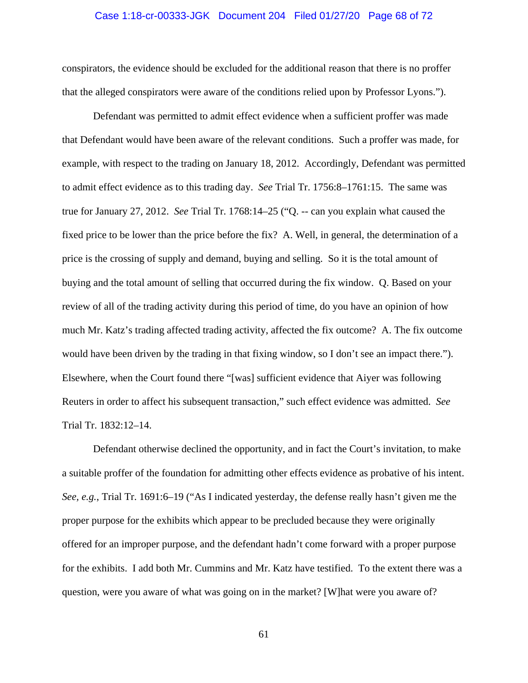#### Case 1:18-cr-00333-JGK Document 204 Filed 01/27/20 Page 68 of 72

conspirators, the evidence should be excluded for the additional reason that there is no proffer that the alleged conspirators were aware of the conditions relied upon by Professor Lyons.").

Defendant was permitted to admit effect evidence when a sufficient proffer was made that Defendant would have been aware of the relevant conditions. Such a proffer was made, for example, with respect to the trading on January 18, 2012. Accordingly, Defendant was permitted to admit effect evidence as to this trading day. *See* Trial Tr. 1756:8–1761:15. The same was true for January 27, 2012. *See* Trial Tr. 1768:14–25 ("Q. -- can you explain what caused the fixed price to be lower than the price before the fix? A. Well, in general, the determination of a price is the crossing of supply and demand, buying and selling. So it is the total amount of buying and the total amount of selling that occurred during the fix window. Q. Based on your review of all of the trading activity during this period of time, do you have an opinion of how much Mr. Katz's trading affected trading activity, affected the fix outcome? A. The fix outcome would have been driven by the trading in that fixing window, so I don't see an impact there."). Elsewhere, when the Court found there "[was] sufficient evidence that Aiyer was following Reuters in order to affect his subsequent transaction," such effect evidence was admitted. *See* Trial Tr. 1832:12–14.

Defendant otherwise declined the opportunity, and in fact the Court's invitation, to make a suitable proffer of the foundation for admitting other effects evidence as probative of his intent. *See, e.g.*, Trial Tr. 1691:6–19 ("As I indicated yesterday, the defense really hasn't given me the proper purpose for the exhibits which appear to be precluded because they were originally offered for an improper purpose, and the defendant hadn't come forward with a proper purpose for the exhibits. I add both Mr. Cummins and Mr. Katz have testified. To the extent there was a question, were you aware of what was going on in the market? [W]hat were you aware of?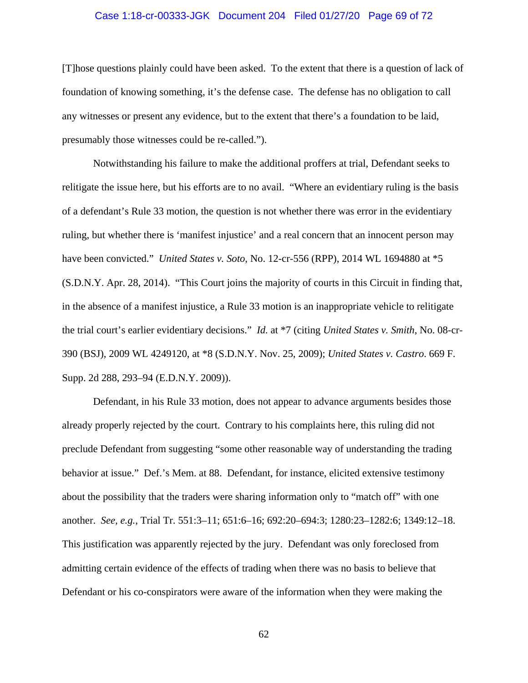#### Case 1:18-cr-00333-JGK Document 204 Filed 01/27/20 Page 69 of 72

[T]hose questions plainly could have been asked. To the extent that there is a question of lack of foundation of knowing something, it's the defense case. The defense has no obligation to call any witnesses or present any evidence, but to the extent that there's a foundation to be laid, presumably those witnesses could be re-called.").

Notwithstanding his failure to make the additional proffers at trial, Defendant seeks to relitigate the issue here, but his efforts are to no avail. "Where an evidentiary ruling is the basis of a defendant's Rule 33 motion, the question is not whether there was error in the evidentiary ruling, but whether there is 'manifest injustice' and a real concern that an innocent person may have been convicted." *United States v. Soto*, No. 12-cr-556 (RPP), 2014 WL 1694880 at \*5 (S.D.N.Y. Apr. 28, 2014). "This Court joins the majority of courts in this Circuit in finding that, in the absence of a manifest injustice, a Rule 33 motion is an inappropriate vehicle to relitigate the trial court's earlier evidentiary decisions." *Id.* at \*7 (citing *United States v. Smith*, No. 08-cr-390 (BSJ), 2009 WL 4249120, at \*8 (S.D.N.Y. Nov. 25, 2009); *United States v. Castro*. 669 F. Supp. 2d 288, 293–94 (E.D.N.Y. 2009)).

Defendant, in his Rule 33 motion, does not appear to advance arguments besides those already properly rejected by the court. Contrary to his complaints here, this ruling did not preclude Defendant from suggesting "some other reasonable way of understanding the trading behavior at issue." Def.'s Mem. at 88. Defendant, for instance, elicited extensive testimony about the possibility that the traders were sharing information only to "match off" with one another. *See, e.g.*, Trial Tr. 551:3–11; 651:6–16; 692:20–694:3; 1280:23–1282:6; 1349:12–18. This justification was apparently rejected by the jury. Defendant was only foreclosed from admitting certain evidence of the effects of trading when there was no basis to believe that Defendant or his co-conspirators were aware of the information when they were making the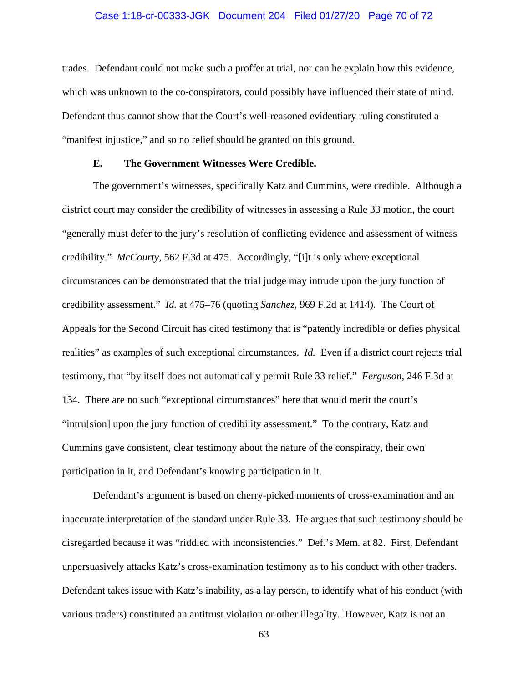#### Case 1:18-cr-00333-JGK Document 204 Filed 01/27/20 Page 70 of 72

trades. Defendant could not make such a proffer at trial, nor can he explain how this evidence, which was unknown to the co-conspirators, could possibly have influenced their state of mind. Defendant thus cannot show that the Court's well-reasoned evidentiary ruling constituted a "manifest injustice," and so no relief should be granted on this ground.

## **E. The Government Witnesses Were Credible.**

The government's witnesses, specifically Katz and Cummins, were credible. Although a district court may consider the credibility of witnesses in assessing a Rule 33 motion, the court "generally must defer to the jury's resolution of conflicting evidence and assessment of witness credibility." *McCourty*, 562 F.3d at 475. Accordingly, "[i]t is only where exceptional circumstances can be demonstrated that the trial judge may intrude upon the jury function of credibility assessment." *Id.* at 475–76 (quoting *Sanchez,* 969 F.2d at 1414). The Court of Appeals for the Second Circuit has cited testimony that is "patently incredible or defies physical realities" as examples of such exceptional circumstances. *Id.* Even if a district court rejects trial testimony, that "by itself does not automatically permit Rule 33 relief." *Ferguson*, 246 F.3d at 134. There are no such "exceptional circumstances" here that would merit the court's "intru[sion] upon the jury function of credibility assessment." To the contrary, Katz and Cummins gave consistent, clear testimony about the nature of the conspiracy, their own participation in it, and Defendant's knowing participation in it.

Defendant's argument is based on cherry-picked moments of cross-examination and an inaccurate interpretation of the standard under Rule 33. He argues that such testimony should be disregarded because it was "riddled with inconsistencies." Def.'s Mem. at 82. First, Defendant unpersuasively attacks Katz's cross-examination testimony as to his conduct with other traders. Defendant takes issue with Katz's inability, as a lay person, to identify what of his conduct (with various traders) constituted an antitrust violation or other illegality. However, Katz is not an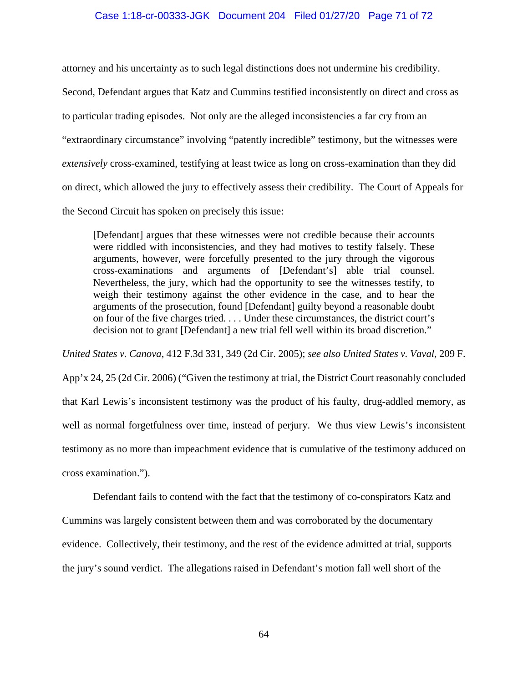#### Case 1:18-cr-00333-JGK Document 204 Filed 01/27/20 Page 71 of 72

attorney and his uncertainty as to such legal distinctions does not undermine his credibility. Second, Defendant argues that Katz and Cummins testified inconsistently on direct and cross as to particular trading episodes. Not only are the alleged inconsistencies a far cry from an "extraordinary circumstance" involving "patently incredible" testimony, but the witnesses were *extensively* cross-examined, testifying at least twice as long on cross-examination than they did on direct, which allowed the jury to effectively assess their credibility. The Court of Appeals for the Second Circuit has spoken on precisely this issue:

[Defendant] argues that these witnesses were not credible because their accounts were riddled with inconsistencies, and they had motives to testify falsely. These arguments, however, were forcefully presented to the jury through the vigorous cross-examinations and arguments of [Defendant's] able trial counsel. Nevertheless, the jury, which had the opportunity to see the witnesses testify, to weigh their testimony against the other evidence in the case, and to hear the arguments of the prosecution, found [Defendant] guilty beyond a reasonable doubt on four of the five charges tried. . . . Under these circumstances, the district court's decision not to grant [Defendant] a new trial fell well within its broad discretion."

*United States v. Canova*, 412 F.3d 331, 349 (2d Cir. 2005); *see also United States v. Vaval*, 209 F. App'x 24, 25 (2d Cir. 2006) ("Given the testimony at trial, the District Court reasonably concluded that Karl Lewis's inconsistent testimony was the product of his faulty, drug-addled memory, as well as normal forgetfulness over time, instead of perjury. We thus view Lewis's inconsistent testimony as no more than impeachment evidence that is cumulative of the testimony adduced on cross examination.").

Defendant fails to contend with the fact that the testimony of co-conspirators Katz and Cummins was largely consistent between them and was corroborated by the documentary evidence. Collectively, their testimony, and the rest of the evidence admitted at trial, supports the jury's sound verdict. The allegations raised in Defendant's motion fall well short of the